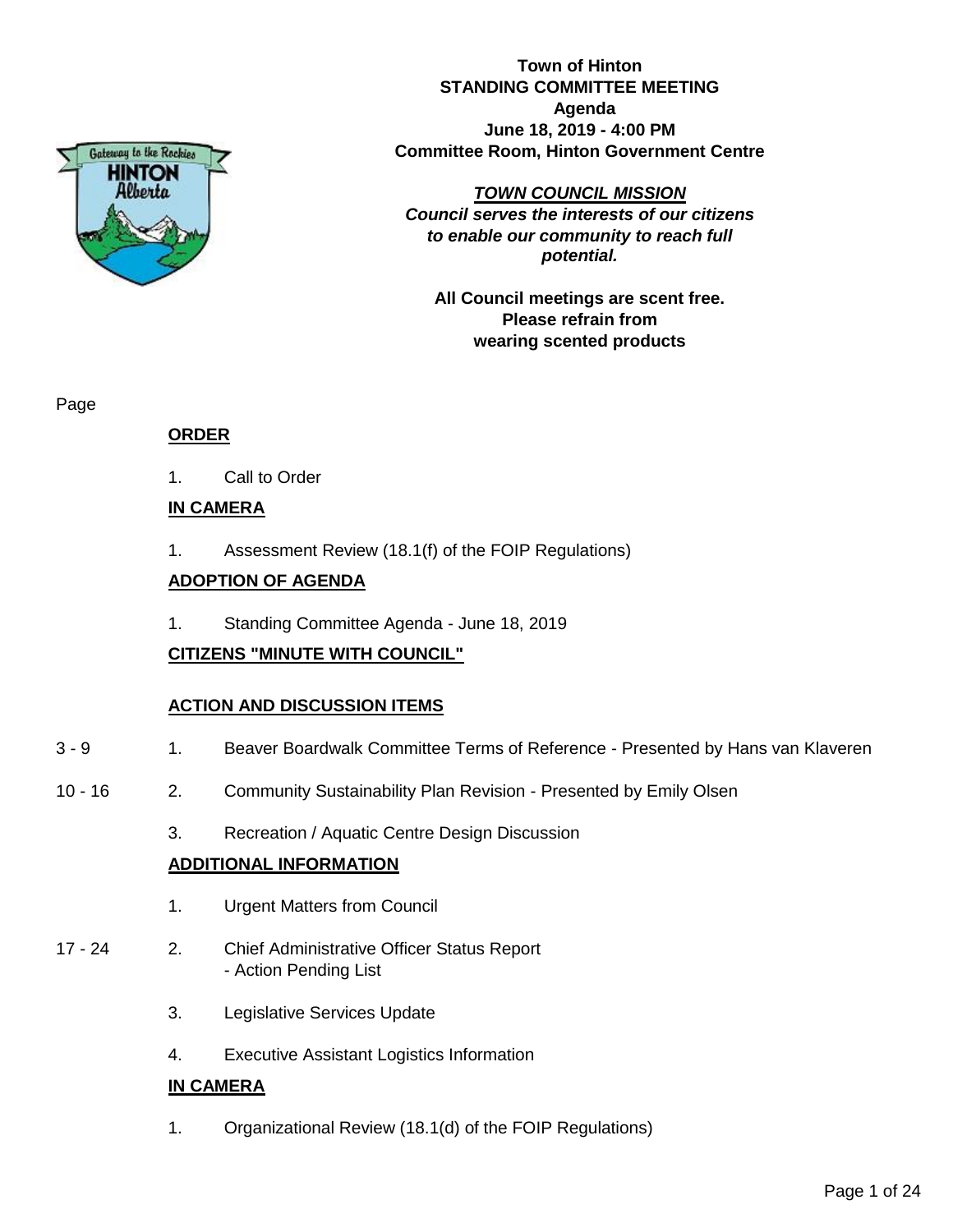

**Town of Hinton STANDING COMMITTEE MEETING Agenda June 18, 2019 - 4:00 PM Committee Room, Hinton Government Centre**

*TOWN COUNCIL MISSION*

*Council serves the interests of our citizens to enable our community to reach full potential.*

**All Council meetings are scent free. Please refrain from wearing scented products**

Page

#### **ORDER**

1. Call to Order

#### **IN CAMERA**

1. Assessment Review (18.1(f) of the FOIP Regulations)

#### **ADOPTION OF AGENDA**

1. Standing Committee Agenda - June 18, 2019

#### **CITIZENS "MINUTE WITH COUNCIL"**

#### **ACTION AND DISCUSSION ITEMS**

- 3 9 1. Beaver Boardwalk Committee Terms of Reference Presented by Hans van Klaveren
- 10 16 2. Community Sustainability Plan Revision Presented by Emily Olsen
	- 3. Recreation / Aquatic Centre Design Discussion

#### **ADDITIONAL INFORMATION**

- 1. Urgent Matters from Council
- 17 24 2. Chief Administrative Officer Status Report - Action Pending List
	- 3. Legislative Services Update
	- 4. Executive Assistant Logistics Information

#### **IN CAMERA**

1. Organizational Review (18.1(d) of the FOIP Regulations)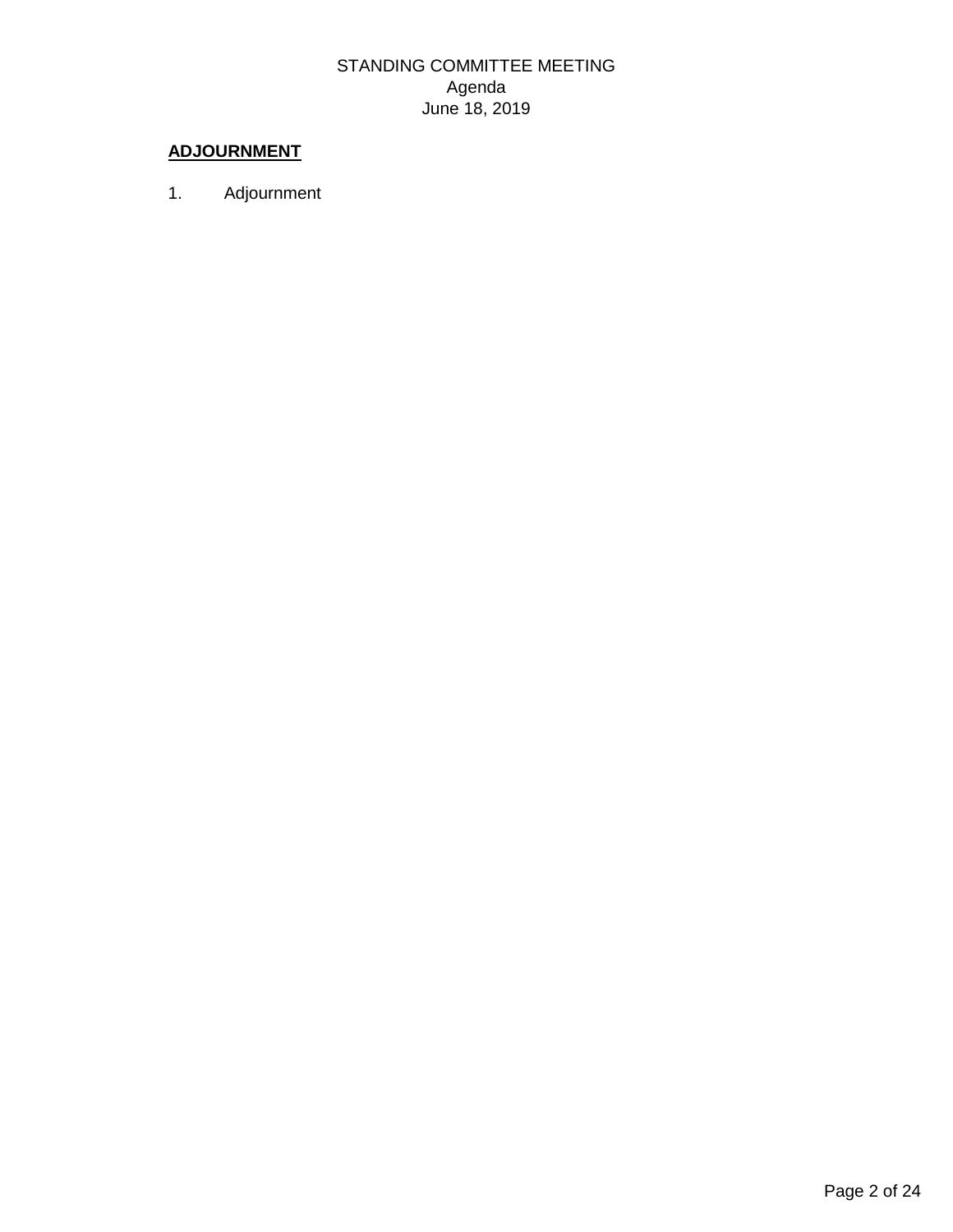### STANDING COMMITTEE MEETING Agenda June 18, 2019

### **ADJOURNMENT**

1. Adjournment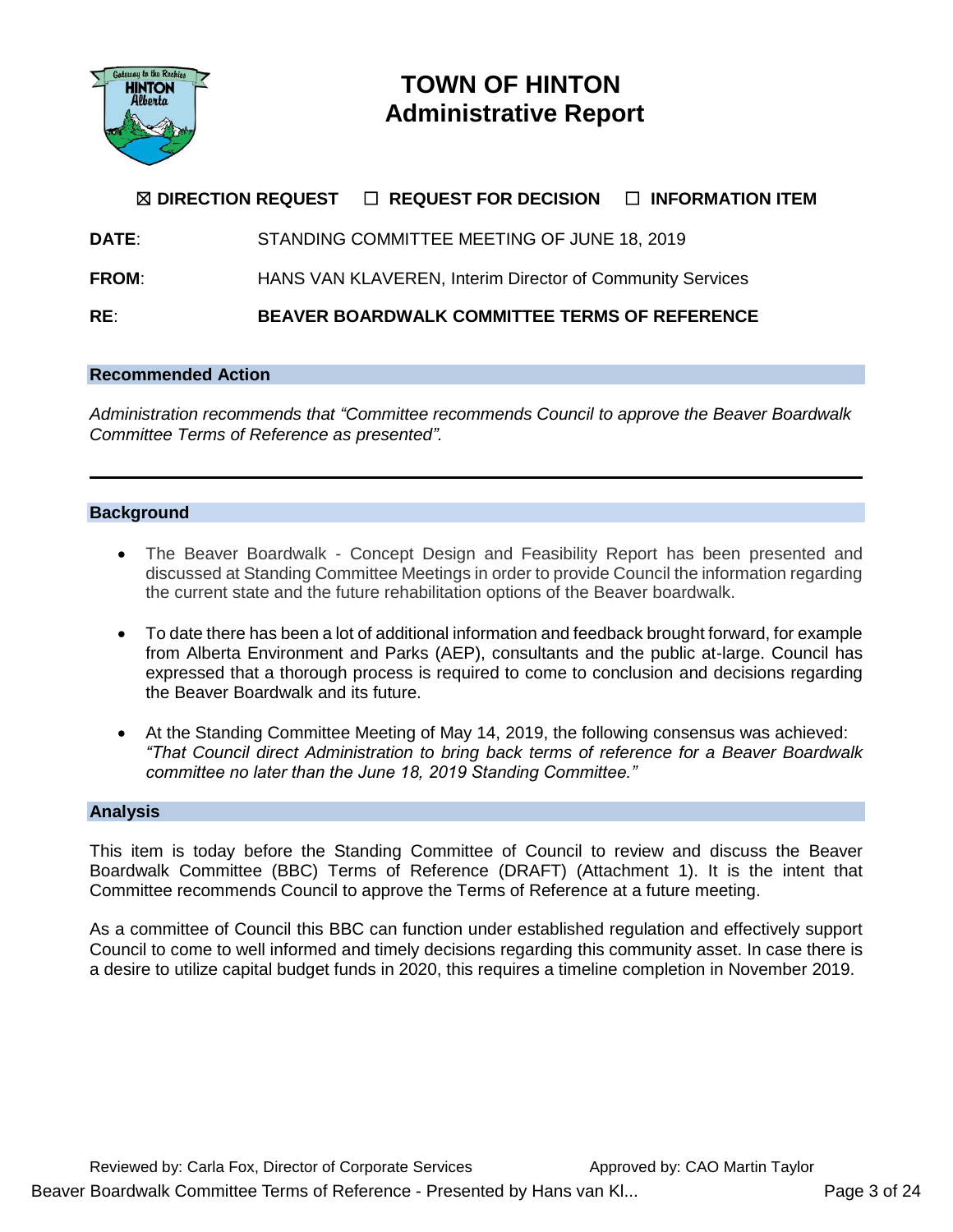

## **TOWN OF HINTON Administrative Report**

### ☒ **DIRECTION REQUEST** ☐ **REQUEST FOR DECISION** ☐ **INFORMATION ITEM**

**DATE**: STANDING COMMITTEE MEETING OF JUNE 18, 2019

**FROM:** HANS VAN KLAVEREN, Interim Director of Community Services

**RE**: **BEAVER BOARDWALK COMMITTEE TERMS OF REFERENCE**

#### **Recommended Action**

*Administration recommends that "Committee recommends Council to approve the Beaver Boardwalk Committee Terms of Reference as presented".*

#### **Background**

- The Beaver Boardwalk Concept Design and Feasibility Report has been presented and discussed at Standing Committee Meetings in order to provide Council the information regarding the current state and the future rehabilitation options of the Beaver boardwalk.
- To date there has been a lot of additional information and feedback brought forward, for example from Alberta Environment and Parks (AEP), consultants and the public at-large. Council has expressed that a thorough process is required to come to conclusion and decisions regarding the Beaver Boardwalk and its future.
- At the Standing Committee Meeting of May 14, 2019, the following consensus was achieved: *"That Council direct Administration to bring back terms of reference for a Beaver Boardwalk committee no later than the June 18, 2019 Standing Committee."*

#### **Analysis**

This item is today before the Standing Committee of Council to review and discuss the Beaver Boardwalk Committee (BBC) Terms of Reference (DRAFT) (Attachment 1). It is the intent that Committee recommends Council to approve the Terms of Reference at a future meeting.

As a committee of Council this BBC can function under established regulation and effectively support Council to come to well informed and timely decisions regarding this community asset. In case there is a desire to utilize capital budget funds in 2020, this requires a timeline completion in November 2019.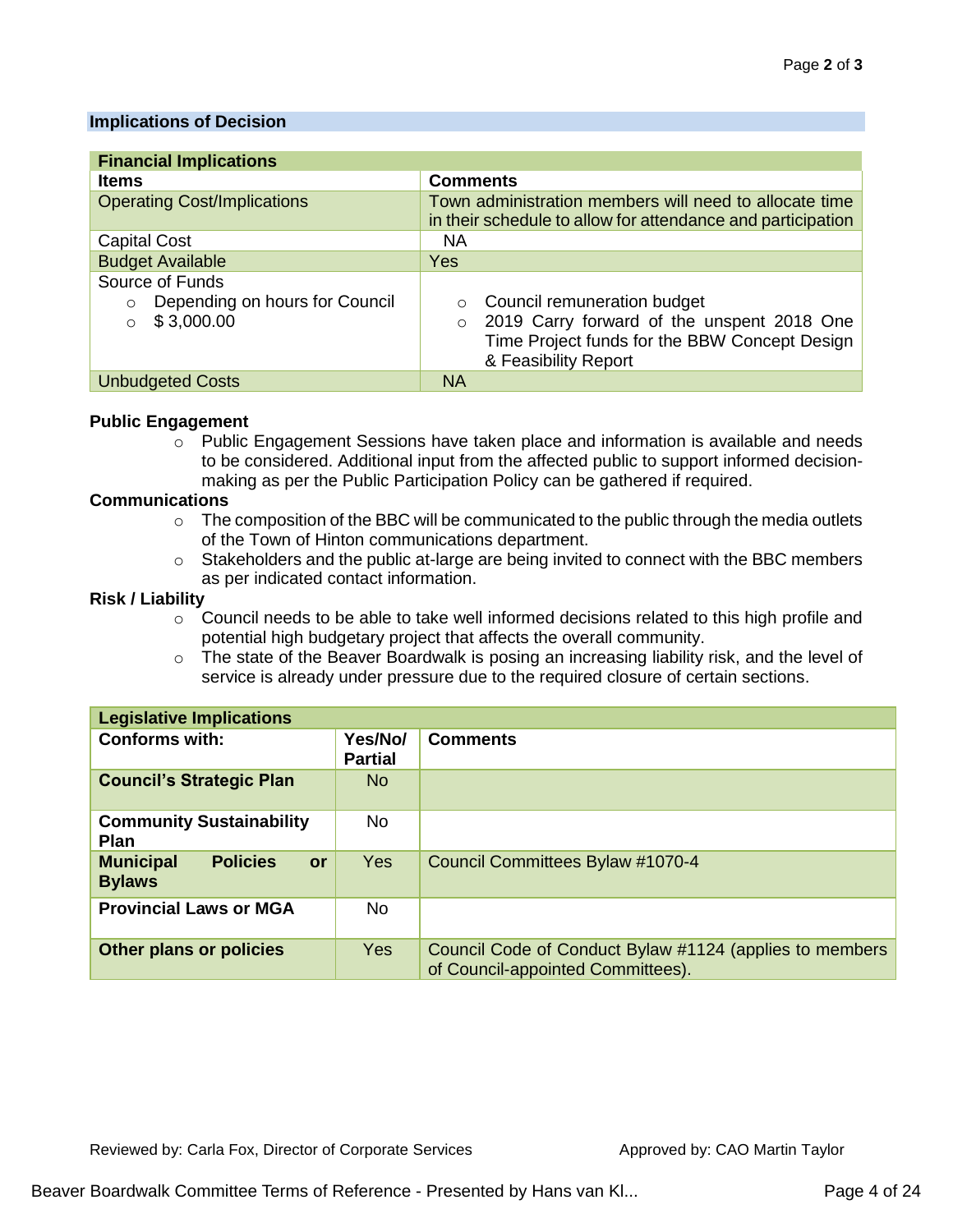#### **Implications of Decision**

| <b>Financial Implications</b>             |                                                                                                                       |  |  |  |  |  |  |
|-------------------------------------------|-----------------------------------------------------------------------------------------------------------------------|--|--|--|--|--|--|
| <b>Items</b>                              | <b>Comments</b>                                                                                                       |  |  |  |  |  |  |
| <b>Operating Cost/Implications</b>        | Town administration members will need to allocate time<br>in their schedule to allow for attendance and participation |  |  |  |  |  |  |
| <b>Capital Cost</b>                       | <b>NA</b>                                                                                                             |  |  |  |  |  |  |
| <b>Budget Available</b>                   | Yes                                                                                                                   |  |  |  |  |  |  |
| Source of Funds                           |                                                                                                                       |  |  |  |  |  |  |
| Depending on hours for Council<br>$\circ$ | Council remuneration budget<br>$\circ$                                                                                |  |  |  |  |  |  |
| \$3,000.00<br>$\bigcirc$                  | 2019 Carry forward of the unspent 2018 One<br>$\circ$                                                                 |  |  |  |  |  |  |
|                                           | Time Project funds for the BBW Concept Design                                                                         |  |  |  |  |  |  |
|                                           | & Feasibility Report                                                                                                  |  |  |  |  |  |  |
| <b>Unbudgeted Costs</b>                   | <b>NA</b>                                                                                                             |  |  |  |  |  |  |

#### **Public Engagement**

o Public Engagement Sessions have taken place and information is available and needs to be considered. Additional input from the affected public to support informed decisionmaking as per the Public Participation Policy can be gathered if required.

#### **Communications**

- $\circ$  The composition of the BBC will be communicated to the public through the media outlets of the Town of Hinton communications department.
- o Stakeholders and the public at-large are being invited to connect with the BBC members as per indicated contact information.

#### **Risk / Liability**

- $\circ$  Council needs to be able to take well informed decisions related to this high profile and potential high budgetary project that affects the overall community.
- o The state of the Beaver Boardwalk is posing an increasing liability risk, and the level of service is already under pressure due to the required closure of certain sections.

| <b>Legislative Implications</b>                                   |                           |                                                                                              |  |  |  |  |  |  |
|-------------------------------------------------------------------|---------------------------|----------------------------------------------------------------------------------------------|--|--|--|--|--|--|
| <b>Conforms with:</b>                                             | Yes/No/<br><b>Partial</b> | <b>Comments</b>                                                                              |  |  |  |  |  |  |
| <b>Council's Strategic Plan</b>                                   | N <sub>o</sub>            |                                                                                              |  |  |  |  |  |  |
| <b>Community Sustainability</b><br><b>Plan</b>                    | <b>No</b>                 |                                                                                              |  |  |  |  |  |  |
| <b>Municipal</b><br><b>Policies</b><br><b>or</b><br><b>Bylaws</b> | <b>Yes</b>                | Council Committees Bylaw #1070-4                                                             |  |  |  |  |  |  |
| <b>Provincial Laws or MGA</b>                                     | <b>No</b>                 |                                                                                              |  |  |  |  |  |  |
| <b>Other plans or policies</b>                                    | <b>Yes</b>                | Council Code of Conduct Bylaw #1124 (applies to members<br>of Council-appointed Committees). |  |  |  |  |  |  |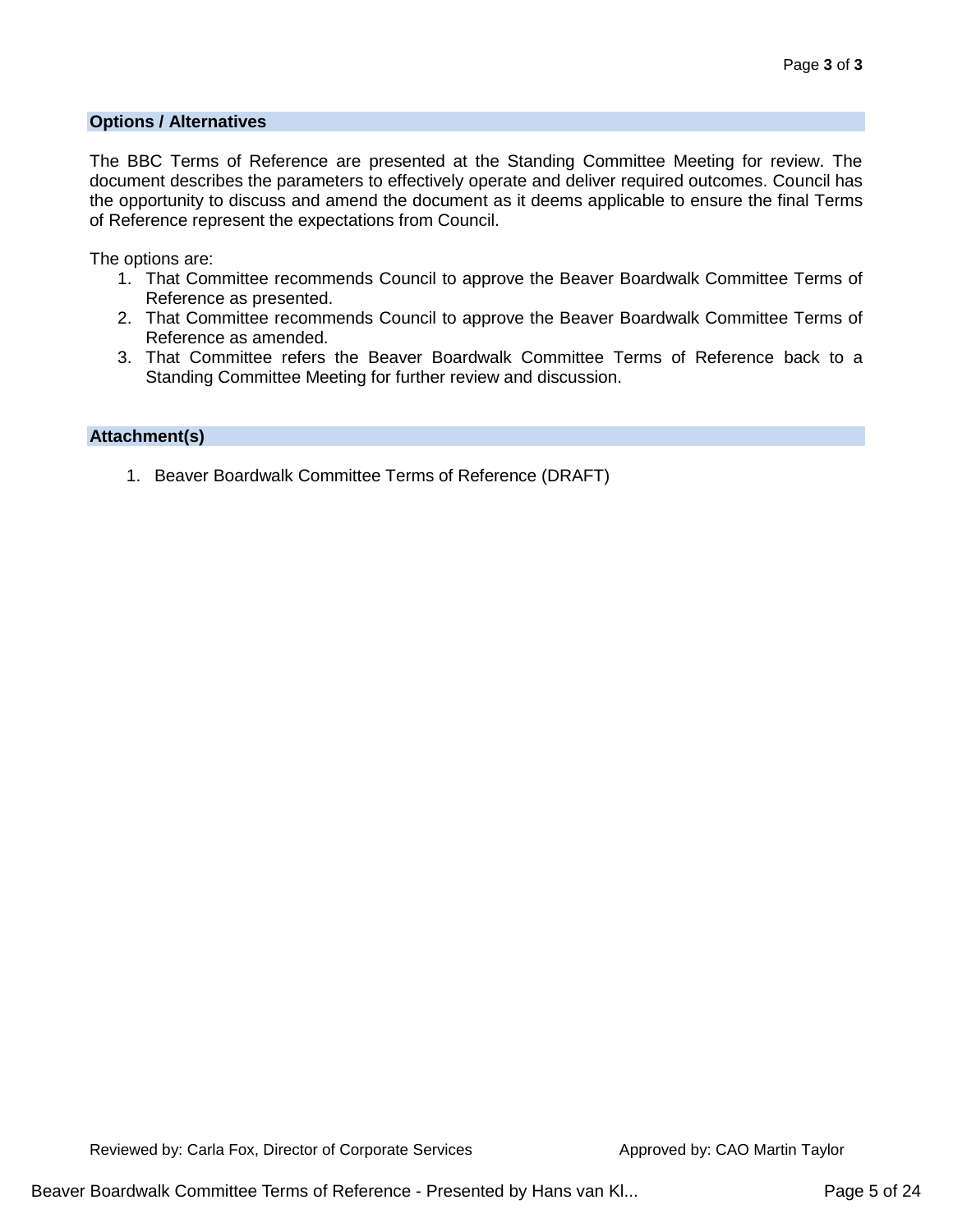#### **Options / Alternatives**

The BBC Terms of Reference are presented at the Standing Committee Meeting for review. The document describes the parameters to effectively operate and deliver required outcomes. Council has the opportunity to discuss and amend the document as it deems applicable to ensure the final Terms of Reference represent the expectations from Council.

The options are:

- 1. That Committee recommends Council to approve the Beaver Boardwalk Committee Terms of Reference as presented.
- 2. That Committee recommends Council to approve the Beaver Boardwalk Committee Terms of Reference as amended.
- 3. That Committee refers the Beaver Boardwalk Committee Terms of Reference back to a Standing Committee Meeting for further review and discussion.

#### **Attachment(s)**

1. Beaver Boardwalk Committee Terms of Reference (DRAFT)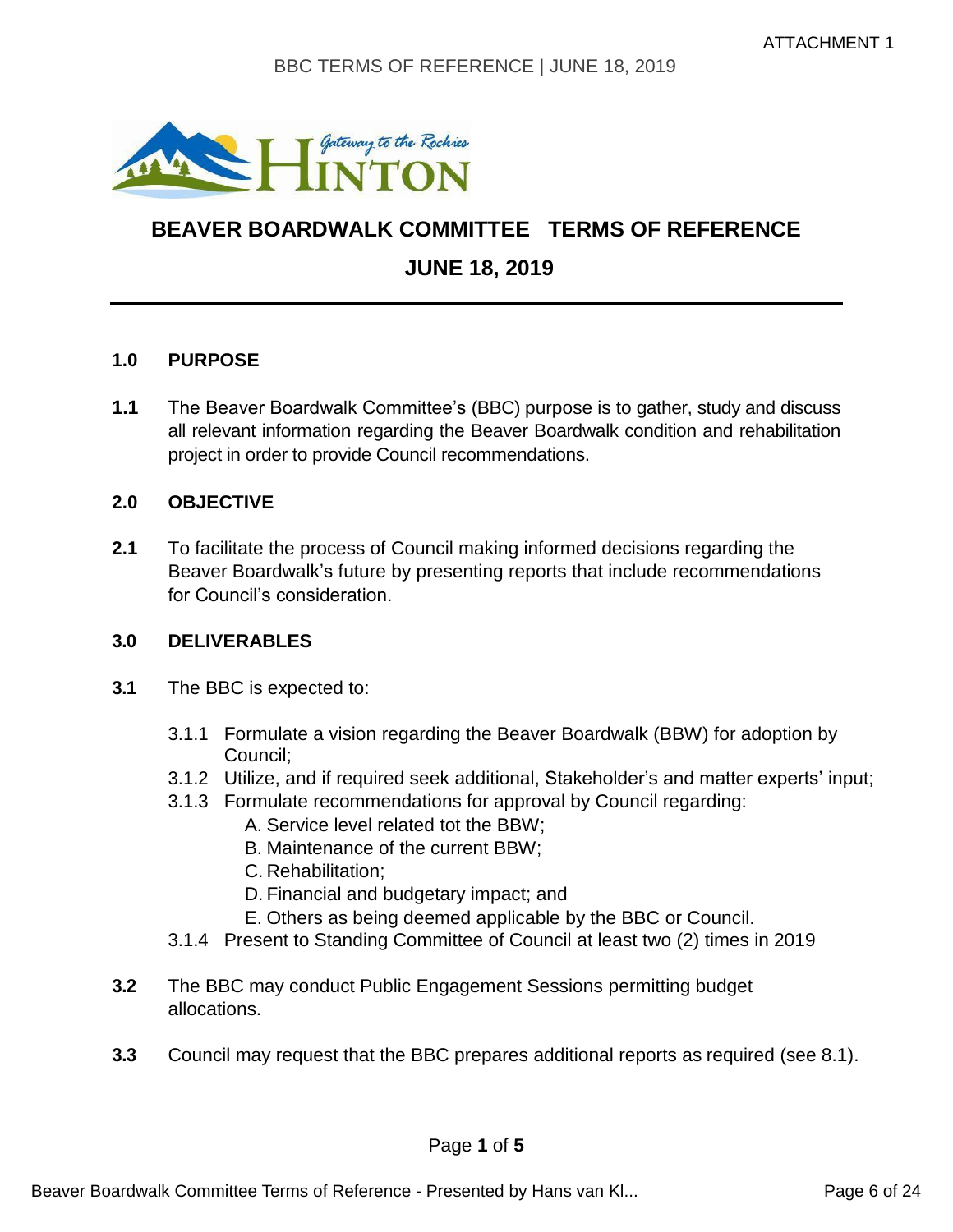

# **BEAVER BOARDWALK COMMITTEE TERMS OF REFERENCE JUNE 18, 2019**

#### **1.0 PURPOSE**

**1.1** The Beaver Boardwalk Committee's (BBC) purpose is to gather, study and discuss all relevant information regarding the Beaver Boardwalk condition and rehabilitation project in order to provide Council recommendations.

#### **2.0 OBJECTIVE**

**2.1** To facilitate the process of Council making informed decisions regarding the Beaver Boardwalk's future by presenting reports that include recommendations for Council's consideration.

#### **3.0 DELIVERABLES**

- **3.1** The BBC is expected to:
	- 3.1.1 Formulate a vision regarding the Beaver Boardwalk (BBW) for adoption by Council;
	- 3.1.2 Utilize, and if required seek additional, Stakeholder's and matter experts' input;
	- 3.1.3 Formulate recommendations for approval by Council regarding:
		- A. Service level related tot the BBW;
		- B. Maintenance of the current BBW;
		- C. Rehabilitation;
		- D. Financial and budgetary impact; and
		- E. Others as being deemed applicable by the BBC or Council.
	- 3.1.4 Present to Standing Committee of Council at least two (2) times in 2019
- **3.2** The BBC may conduct Public Engagement Sessions permitting budget allocations.
- **3.3** Council may request that the BBC prepares additional reports as required (see 8.1).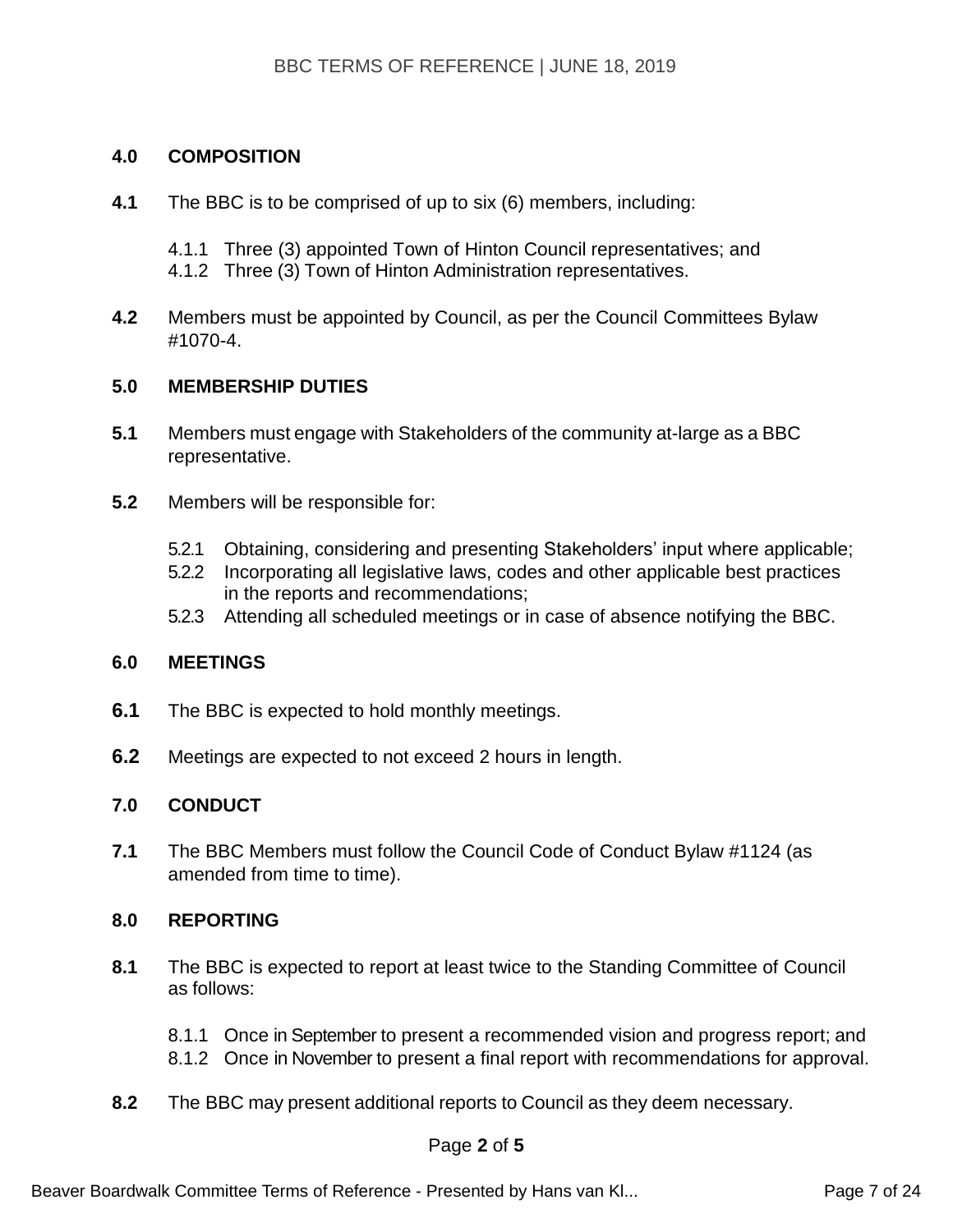#### **4.0 COMPOSITION**

- **4.1** The BBC is to be comprised of up to six (6) members, including:
	- 4.1.1 Three (3) appointed Town of Hinton Council representatives; and
	- 4.1.2 Three (3) Town of Hinton Administration representatives.
- **4.2** Members must be appointed by Council, as per the Council Committees Bylaw #1070-4.

#### **5.0 MEMBERSHIP DUTIES**

- **5.1** Members must engage with Stakeholders of the community at-large as a BBC representative.
- **5.2** Members will be responsible for:
	- 5.2.1 Obtaining, considering and presenting Stakeholders' input where applicable;
	- 5.2.2 Incorporating all legislative laws, codes and other applicable best practices in the reports and recommendations;
	- 5.2.3 Attending all scheduled meetings or in case of absence notifying the BBC.

#### **6.0 MEETINGS**

- **6.1** The BBC is expected to hold monthly meetings.
- **6.2** Meetings are expected to not exceed 2 hours in length.

#### **7.0 CONDUCT**

**7.1** The BBC Members must follow the Council Code of Conduct Bylaw #1124 (as amended from time to time).

#### **8.0 REPORTING**

- **8.1** The BBC is expected to report at least twice to the Standing Committee of Council as follows:
	- 8.1.1 Once in September to present a recommended vision and progress report; and
	- 8.1.2 Once in November to present a final report with recommendations for approval.
- **8.2** The BBC may present additional reports to Council as they deem necessary.

#### Page **2** of **5**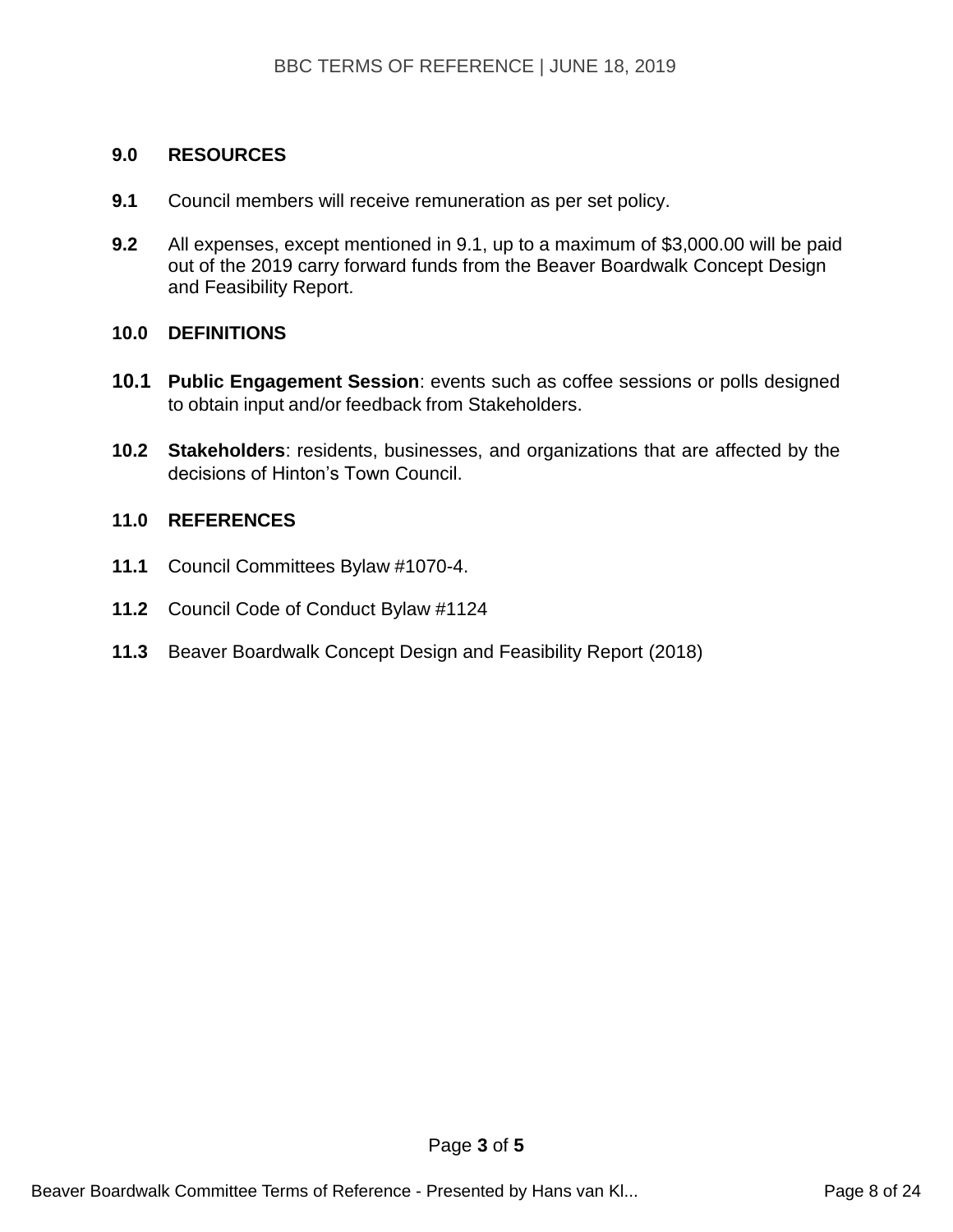#### **9.0 RESOURCES**

- **9.1** Council members will receive remuneration as per set policy.
- **9.2** All expenses, except mentioned in 9.1, up to a maximum of \$3,000.00 will be paid out of the 2019 carry forward funds from the Beaver Boardwalk Concept Design and Feasibility Report.

#### **10.0 DEFINITIONS**

- **10.1 Public Engagement Session**: events such as coffee sessions or polls designed to obtain input and/or feedback from Stakeholders.
- **10.2 Stakeholders**: residents, businesses, and organizations that are affected by the decisions of Hinton's Town Council.

#### **11.0 REFERENCES**

- **11.1** Council Committees Bylaw #1070-4.
- **11.2** Council Code of Conduct Bylaw #1124
- **11.3** Beaver Boardwalk Concept Design and Feasibility Report (2018)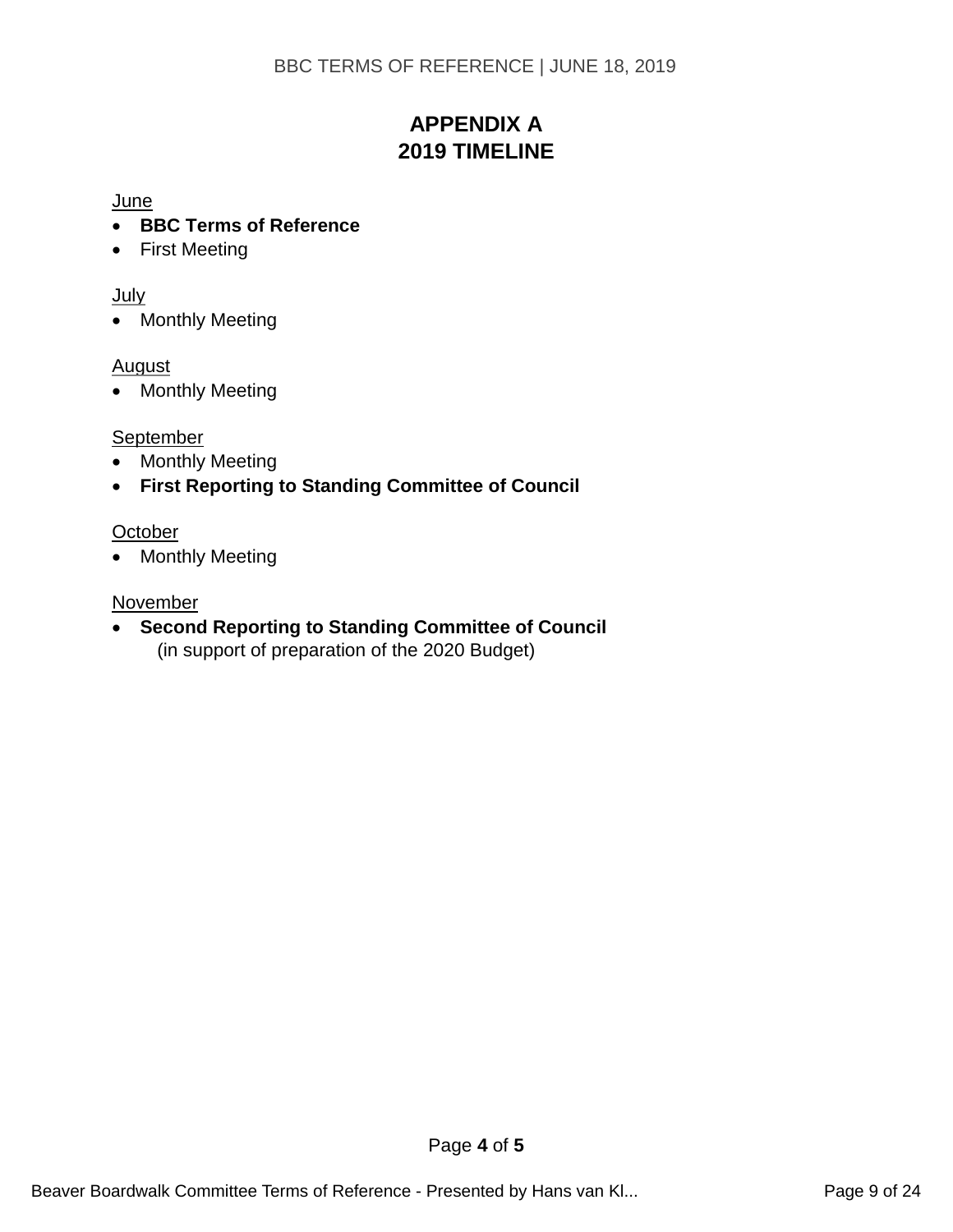## **APPENDIX A 2019 TIMELINE**

#### **June**

- **BBC Terms of Reference**
- First Meeting

#### July

• Monthly Meeting

#### **August**

• Monthly Meeting

### **September**

- Monthly Meeting
- **First Reporting to Standing Committee of Council**

#### **October**

• Monthly Meeting

#### **November**

• **Second Reporting to Standing Committee of Council** (in support of preparation of the 2020 Budget)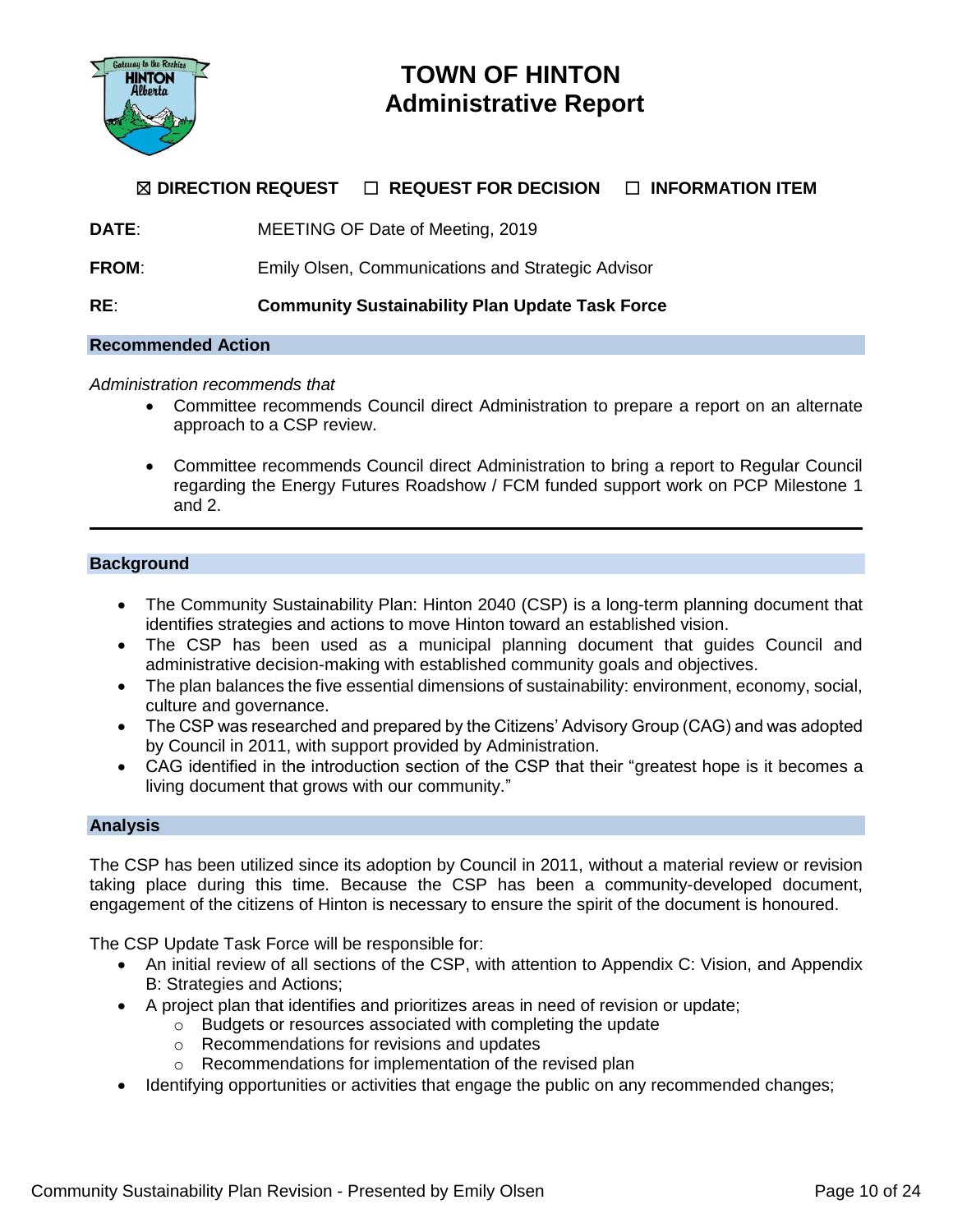

## **TOWN OF HINTON Administrative Report**

#### ☒ **DIRECTION REQUEST** ☐ **REQUEST FOR DECISION** ☐ **INFORMATION ITEM**

**DATE**: MEETING OF Date of Meeting, 2019

**FROM:** Emily Olsen, Communications and Strategic Advisor

**RE**: **Community Sustainability Plan Update Task Force**

#### **Recommended Action**

#### *Administration recommends that*

- Committee recommends Council direct Administration to prepare a report on an alternate approach to a CSP review.
- Committee recommends Council direct Administration to bring a report to Regular Council regarding the Energy Futures Roadshow / FCM funded support work on PCP Milestone 1 and 2.

#### **Background**

- The Community Sustainability Plan: Hinton 2040 (CSP) is a long-term planning document that identifies strategies and actions to move Hinton toward an established vision.
- The CSP has been used as a municipal planning document that guides Council and administrative decision-making with established community goals and objectives.
- The plan balances the five essential dimensions of sustainability: environment, economy, social, culture and governance.
- The CSP was researched and prepared by the Citizens' Advisory Group (CAG) and was adopted by Council in 2011, with support provided by Administration.
- CAG identified in the introduction section of the CSP that their "greatest hope is it becomes a living document that grows with our community."

#### **Analysis**

The CSP has been utilized since its adoption by Council in 2011, without a material review or revision taking place during this time. Because the CSP has been a community-developed document, engagement of the citizens of Hinton is necessary to ensure the spirit of the document is honoured.

The CSP Update Task Force will be responsible for:

- An initial review of all sections of the CSP, with attention to Appendix C: Vision, and Appendix B: Strategies and Actions;
- A project plan that identifies and prioritizes areas in need of revision or update;
	- o Budgets or resources associated with completing the update
	- o Recommendations for revisions and updates
	- o Recommendations for implementation of the revised plan
- Identifying opportunities or activities that engage the public on any recommended changes;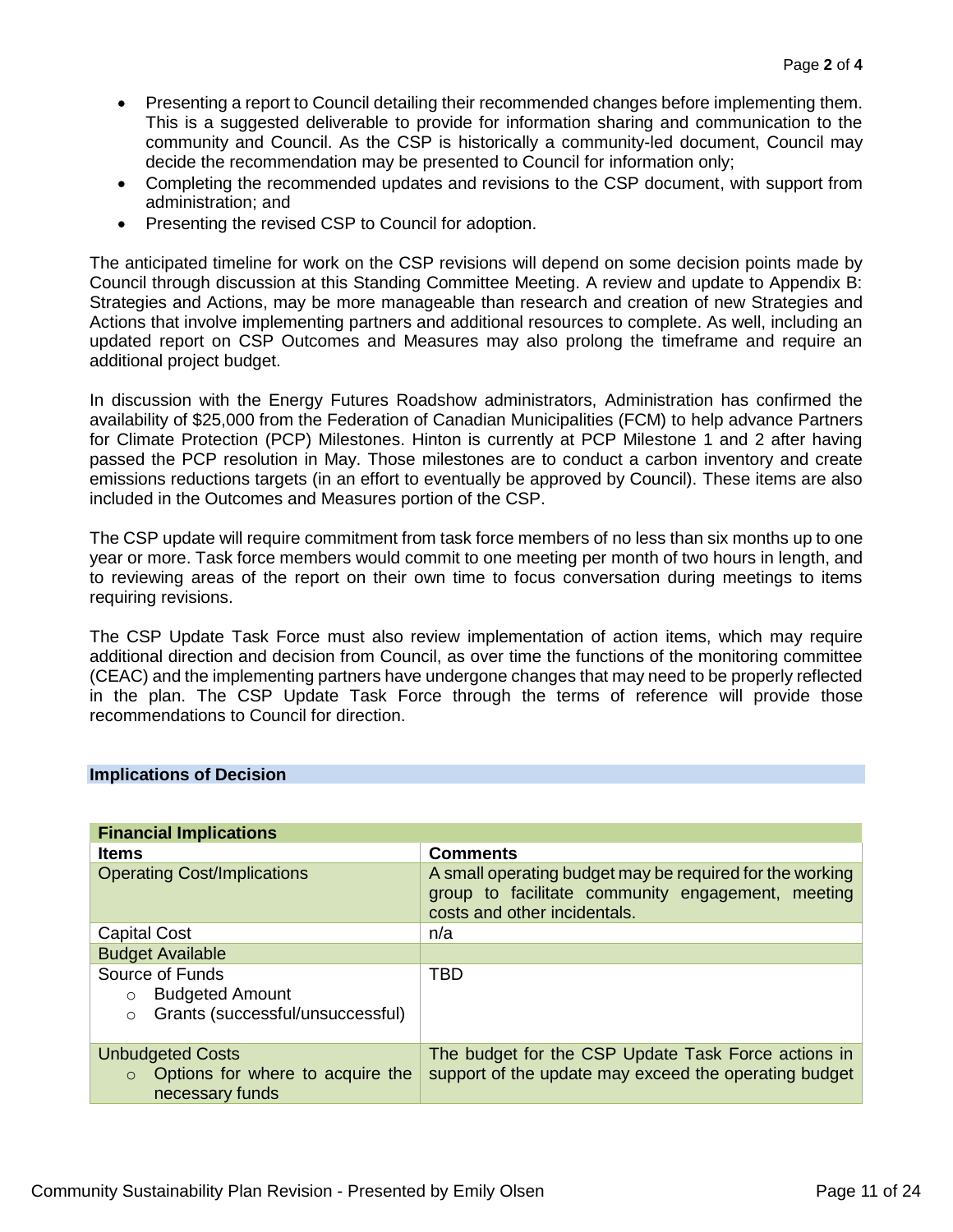- Presenting a report to Council detailing their recommended changes before implementing them. This is a suggested deliverable to provide for information sharing and communication to the community and Council. As the CSP is historically a community-led document, Council may decide the recommendation may be presented to Council for information only;
- Completing the recommended updates and revisions to the CSP document, with support from administration; and
- Presenting the revised CSP to Council for adoption.

The anticipated timeline for work on the CSP revisions will depend on some decision points made by Council through discussion at this Standing Committee Meeting. A review and update to Appendix B: Strategies and Actions, may be more manageable than research and creation of new Strategies and Actions that involve implementing partners and additional resources to complete. As well, including an updated report on CSP Outcomes and Measures may also prolong the timeframe and require an additional project budget.

In discussion with the Energy Futures Roadshow administrators, Administration has confirmed the availability of \$25,000 from the Federation of Canadian Municipalities (FCM) to help advance Partners for Climate Protection (PCP) Milestones. Hinton is currently at PCP Milestone 1 and 2 after having passed the PCP resolution in May. Those milestones are to conduct a carbon inventory and create emissions reductions targets (in an effort to eventually be approved by Council). These items are also included in the Outcomes and Measures portion of the CSP.

The CSP update will require commitment from task force members of no less than six months up to one year or more. Task force members would commit to one meeting per month of two hours in length, and to reviewing areas of the report on their own time to focus conversation during meetings to items requiring revisions.

The CSP Update Task Force must also review implementation of action items, which may require additional direction and decision from Council, as over time the functions of the monitoring committee (CEAC) and the implementing partners have undergone changes that may need to be properly reflected in the plan. The CSP Update Task Force through the terms of reference will provide those recommendations to Council for direction.

|  |  | <b>Implications of Decision</b> |  |
|--|--|---------------------------------|--|
|  |  |                                 |  |

| <b>Financial Implications</b>                                                                       |                                                                                                                                               |  |  |  |  |
|-----------------------------------------------------------------------------------------------------|-----------------------------------------------------------------------------------------------------------------------------------------------|--|--|--|--|
| <b>Items</b>                                                                                        | <b>Comments</b>                                                                                                                               |  |  |  |  |
| <b>Operating Cost/Implications</b>                                                                  | A small operating budget may be required for the working<br>group to facilitate community engagement, meeting<br>costs and other incidentals. |  |  |  |  |
| <b>Capital Cost</b>                                                                                 | n/a                                                                                                                                           |  |  |  |  |
| <b>Budget Available</b>                                                                             |                                                                                                                                               |  |  |  |  |
| Source of Funds<br><b>Budgeted Amount</b><br>$\circ$<br>Grants (successful/unsuccessful)<br>$\circ$ | TBD                                                                                                                                           |  |  |  |  |
| <b>Unbudgeted Costs</b><br>Options for where to acquire the<br>$\circ$<br>necessary funds           | The budget for the CSP Update Task Force actions in<br>support of the update may exceed the operating budget                                  |  |  |  |  |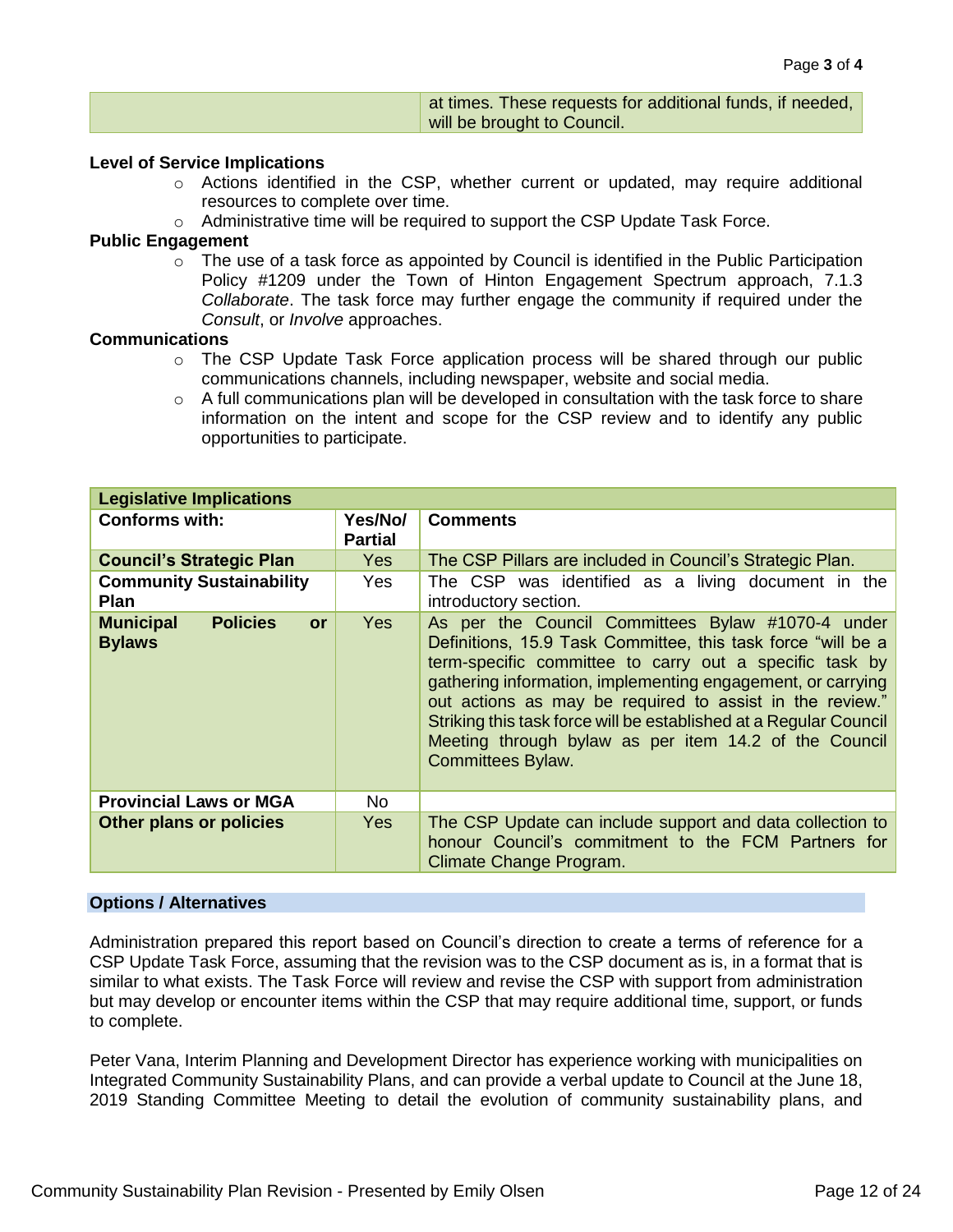| at times. These requests for additional funds, if needed, |
|-----------------------------------------------------------|
| will be brought to Council.                               |

#### **Level of Service Implications**

- o Actions identified in the CSP, whether current or updated, may require additional resources to complete over time.
- $\circ$  Administrative time will be required to support the CSP Update Task Force.

#### **Public Engagement**

 $\circ$  The use of a task force as appointed by Council is identified in the Public Participation Policy #1209 under the Town of Hinton Engagement Spectrum approach, 7.1.3 *Collaborate*. The task force may further engage the community if required under the *Consult*, or *Involve* approaches.

#### **Communications**

- o The CSP Update Task Force application process will be shared through our public communications channels, including newspaper, website and social media.
- $\circ$  A full communications plan will be developed in consultation with the task force to share information on the intent and scope for the CSP review and to identify any public opportunities to participate.

| <b>Legislative Implications</b>                            |                           |                                                                                                                                                                                                                                                                                                                                                                                                                                                            |  |  |  |  |  |
|------------------------------------------------------------|---------------------------|------------------------------------------------------------------------------------------------------------------------------------------------------------------------------------------------------------------------------------------------------------------------------------------------------------------------------------------------------------------------------------------------------------------------------------------------------------|--|--|--|--|--|
| <b>Conforms with:</b>                                      | Yes/No/<br><b>Partial</b> | <b>Comments</b>                                                                                                                                                                                                                                                                                                                                                                                                                                            |  |  |  |  |  |
| <b>Council's Strategic Plan</b>                            | <b>Yes</b>                | The CSP Pillars are included in Council's Strategic Plan.                                                                                                                                                                                                                                                                                                                                                                                                  |  |  |  |  |  |
| <b>Community Sustainability</b><br><b>Plan</b>             | <b>Yes</b>                | The CSP was identified as a living document in the<br>introductory section.                                                                                                                                                                                                                                                                                                                                                                                |  |  |  |  |  |
| <b>Policies</b><br><b>Municipal</b><br>or<br><b>Bylaws</b> | <b>Yes</b>                | As per the Council Committees Bylaw #1070-4 under<br>Definitions, 15.9 Task Committee, this task force "will be a<br>term-specific committee to carry out a specific task by<br>gathering information, implementing engagement, or carrying<br>out actions as may be required to assist in the review."<br>Striking this task force will be established at a Regular Council<br>Meeting through bylaw as per item 14.2 of the Council<br>Committees Bylaw. |  |  |  |  |  |
| <b>Provincial Laws or MGA</b>                              | <b>No</b>                 |                                                                                                                                                                                                                                                                                                                                                                                                                                                            |  |  |  |  |  |
| Other plans or policies                                    | <b>Yes</b>                | The CSP Update can include support and data collection to<br>honour Council's commitment to the FCM Partners for<br>Climate Change Program.                                                                                                                                                                                                                                                                                                                |  |  |  |  |  |

#### **Options / Alternatives**

Administration prepared this report based on Council's direction to create a terms of reference for a CSP Update Task Force, assuming that the revision was to the CSP document as is, in a format that is similar to what exists. The Task Force will review and revise the CSP with support from administration but may develop or encounter items within the CSP that may require additional time, support, or funds to complete.

Peter Vana, Interim Planning and Development Director has experience working with municipalities on Integrated Community Sustainability Plans, and can provide a verbal update to Council at the June 18, 2019 Standing Committee Meeting to detail the evolution of community sustainability plans, and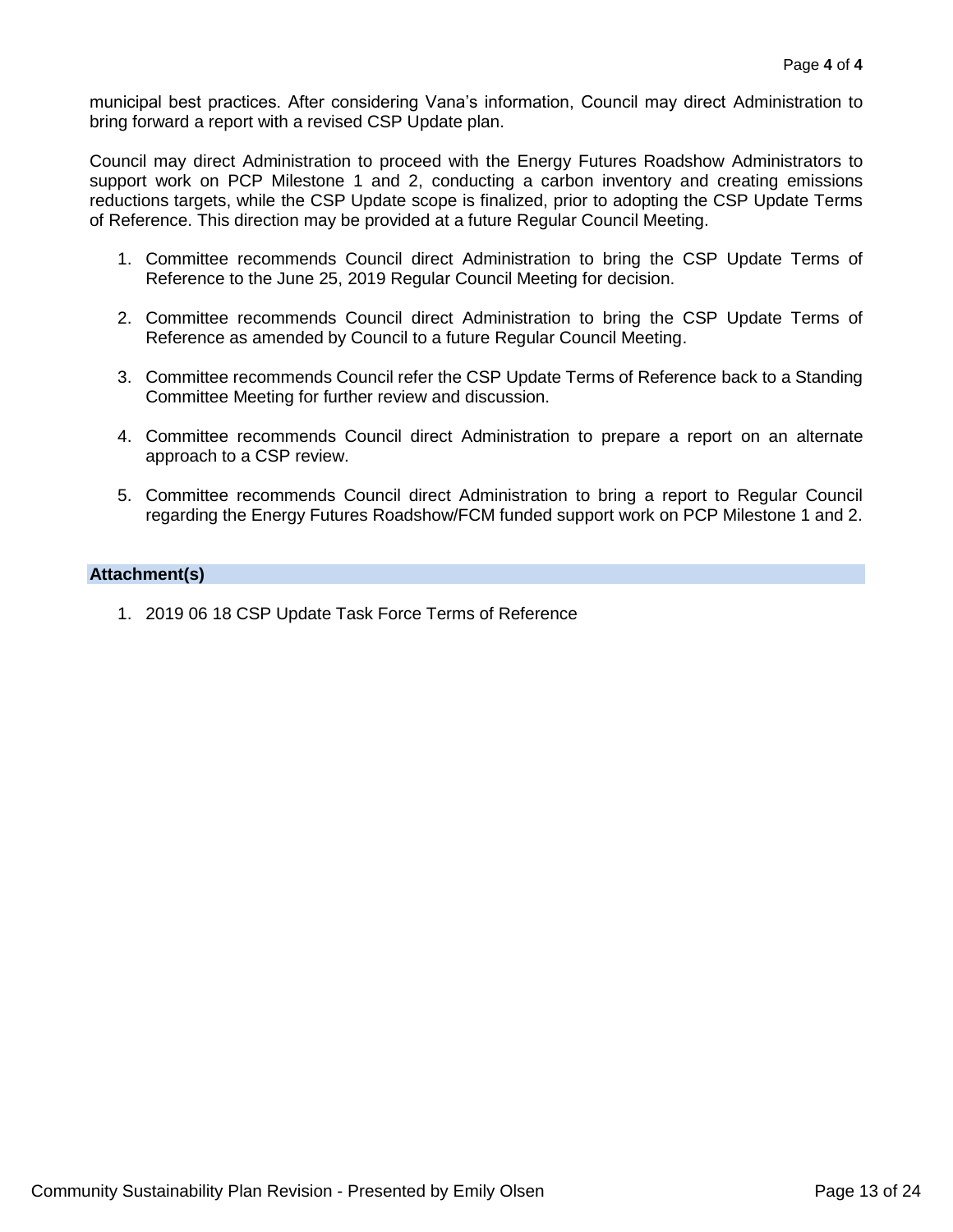municipal best practices. After considering Vana's information, Council may direct Administration to bring forward a report with a revised CSP Update plan.

Council may direct Administration to proceed with the Energy Futures Roadshow Administrators to support work on PCP Milestone 1 and 2, conducting a carbon inventory and creating emissions reductions targets, while the CSP Update scope is finalized, prior to adopting the CSP Update Terms of Reference. This direction may be provided at a future Regular Council Meeting.

- 1. Committee recommends Council direct Administration to bring the CSP Update Terms of Reference to the June 25, 2019 Regular Council Meeting for decision.
- 2. Committee recommends Council direct Administration to bring the CSP Update Terms of Reference as amended by Council to a future Regular Council Meeting.
- 3. Committee recommends Council refer the CSP Update Terms of Reference back to a Standing Committee Meeting for further review and discussion.
- 4. Committee recommends Council direct Administration to prepare a report on an alternate approach to a CSP review.
- 5. Committee recommends Council direct Administration to bring a report to Regular Council regarding the Energy Futures Roadshow/FCM funded support work on PCP Milestone 1 and 2.

#### **Attachment(s)**

1. 2019 06 18 CSP Update Task Force Terms of Reference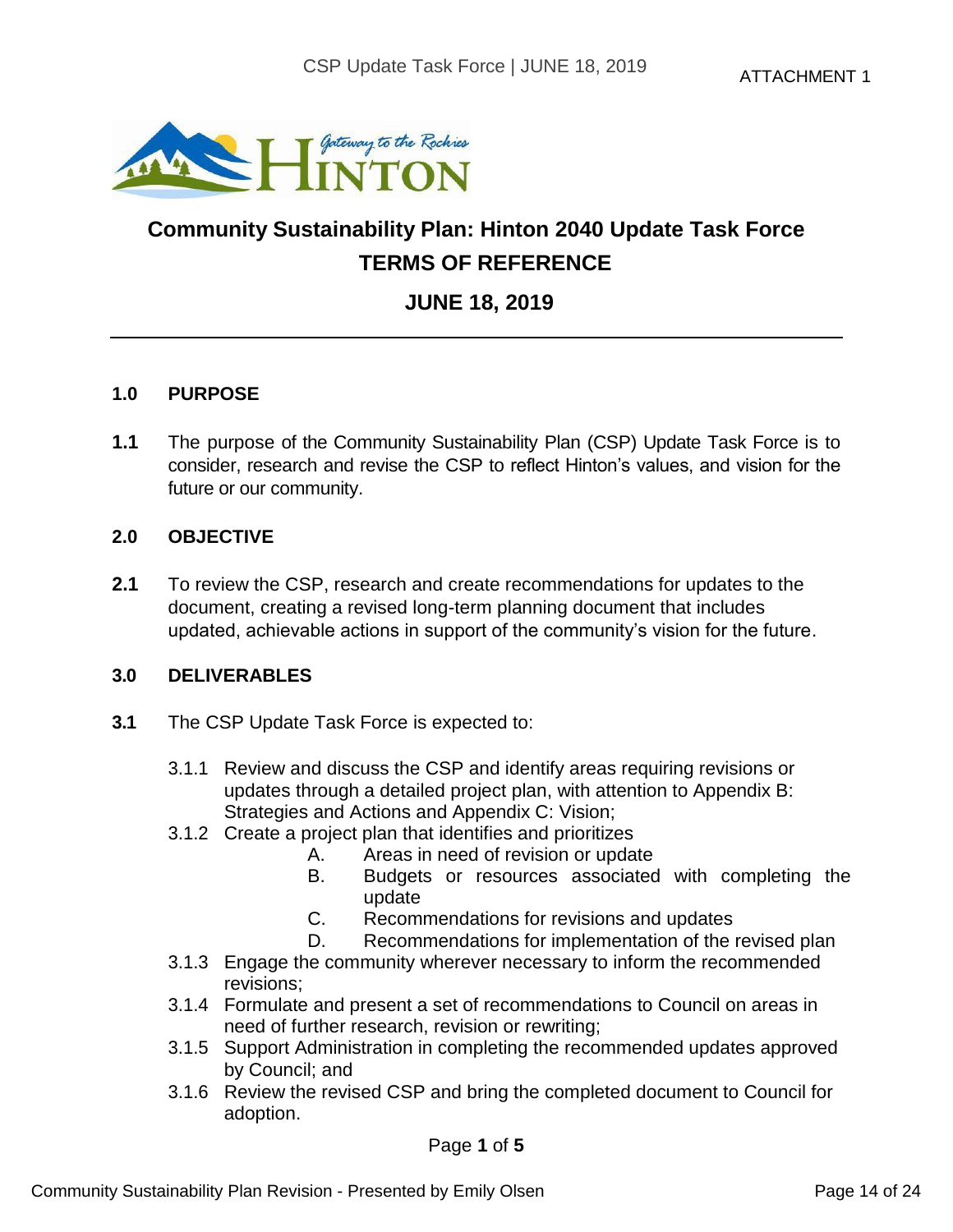

## **Community Sustainability Plan: Hinton 2040 Update Task Force TERMS OF REFERENCE**

## **JUNE 18, 2019**

### **1.0 PURPOSE**

**1.1** The purpose of the Community Sustainability Plan (CSP) Update Task Force is to consider, research and revise the CSP to reflect Hinton's values, and vision for the future or our community.

#### **2.0 OBJECTIVE**

**2.1** To review the CSP, research and create recommendations for updates to the document, creating a revised long-term planning document that includes updated, achievable actions in support of the community's vision for the future.

### **3.0 DELIVERABLES**

- **3.1** The CSP Update Task Force is expected to:
	- 3.1.1 Review and discuss the CSP and identify areas requiring revisions or updates through a detailed project plan, with attention to Appendix B: Strategies and Actions and Appendix C: Vision;
	- 3.1.2 Create a project plan that identifies and prioritizes
		- A. Areas in need of revision or update
		- B. Budgets or resources associated with completing the update
		- C. Recommendations for revisions and updates
		- D. Recommendations for implementation of the revised plan
	- 3.1.3 Engage the community wherever necessary to inform the recommended revisions;
	- 3.1.4 Formulate and present a set of recommendations to Council on areas in need of further research, revision or rewriting;
	- 3.1.5 Support Administration in completing the recommended updates approved by Council; and
	- 3.1.6 Review the revised CSP and bring the completed document to Council for adoption.

Page **1** of **5**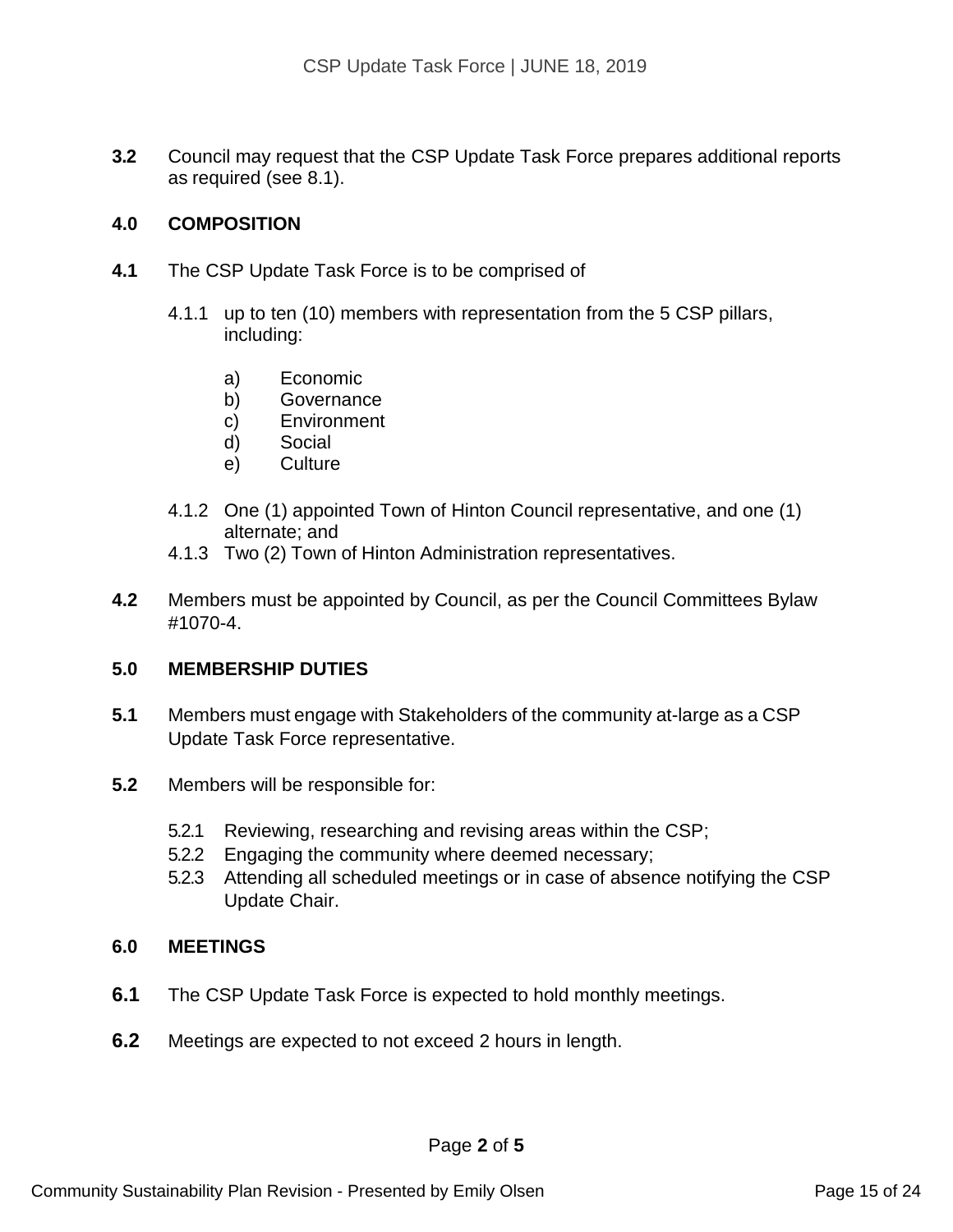**3.2** Council may request that the CSP Update Task Force prepares additional reports as required (see 8.1).

### **4.0 COMPOSITION**

- **4.1** The CSP Update Task Force is to be comprised of
	- 4.1.1 up to ten (10) members with representation from the 5 CSP pillars, including:
		- a) Economic
		- b) Governance
		- c) Environment
		- d) Social
		- e) Culture
	- 4.1.2 One (1) appointed Town of Hinton Council representative, and one (1) alternate; and
	- 4.1.3 Two (2) Town of Hinton Administration representatives.
- **4.2** Members must be appointed by Council, as per the Council Committees Bylaw #1070-4.

#### **5.0 MEMBERSHIP DUTIES**

- **5.1** Members must engage with Stakeholders of the community at-large as a CSP Update Task Force representative.
- **5.2** Members will be responsible for:
	- 5.2.1 Reviewing, researching and revising areas within the CSP;
	- 5.2.2 Engaging the community where deemed necessary;
	- 5.2.3 Attending all scheduled meetings or in case of absence notifying the CSP Update Chair.

#### **6.0 MEETINGS**

- **6.1** The CSP Update Task Force is expected to hold monthly meetings.
- **6.2** Meetings are expected to not exceed 2 hours in length.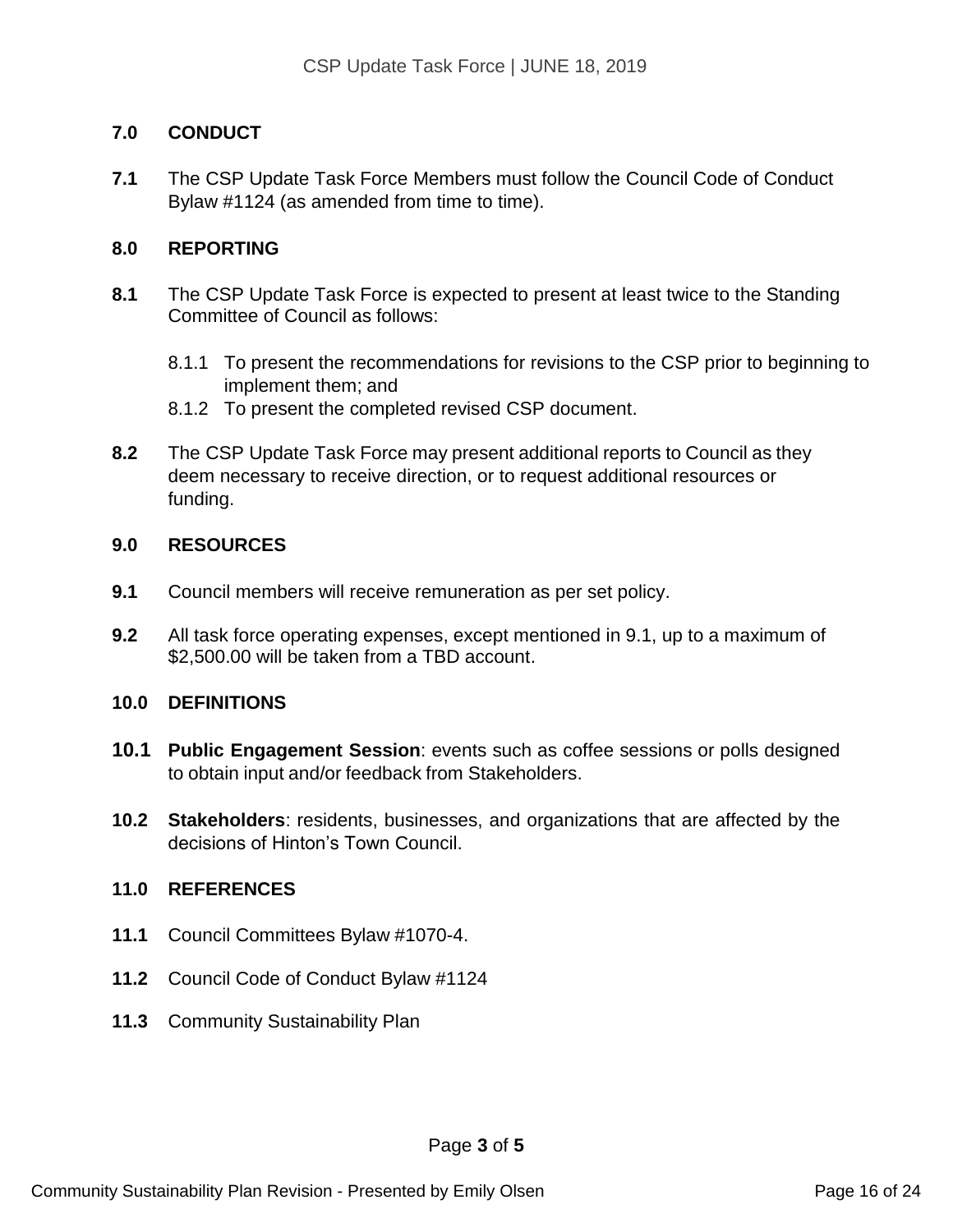### **7.0 CONDUCT**

**7.1** The CSP Update Task Force Members must follow the Council Code of Conduct Bylaw #1124 (as amended from time to time).

### **8.0 REPORTING**

- **8.1** The CSP Update Task Force is expected to present at least twice to the Standing Committee of Council as follows:
	- 8.1.1 To present the recommendations for revisions to the CSP prior to beginning to implement them; and
	- 8.1.2 To present the completed revised CSP document.
- **8.2** The CSP Update Task Force may present additional reports to Council as they deem necessary to receive direction, or to request additional resources or funding.

### **9.0 RESOURCES**

- **9.1** Council members will receive remuneration as per set policy.
- **9.2** All task force operating expenses, except mentioned in 9.1, up to a maximum of \$2,500.00 will be taken from a TBD account.

#### **10.0 DEFINITIONS**

- **10.1 Public Engagement Session**: events such as coffee sessions or polls designed to obtain input and/or feedback from Stakeholders.
- **10.2 Stakeholders**: residents, businesses, and organizations that are affected by the decisions of Hinton's Town Council.

#### **11.0 REFERENCES**

- **11.1** Council Committees Bylaw #1070-4.
- **11.2** Council Code of Conduct Bylaw #1124
- **11.3** Community Sustainability Plan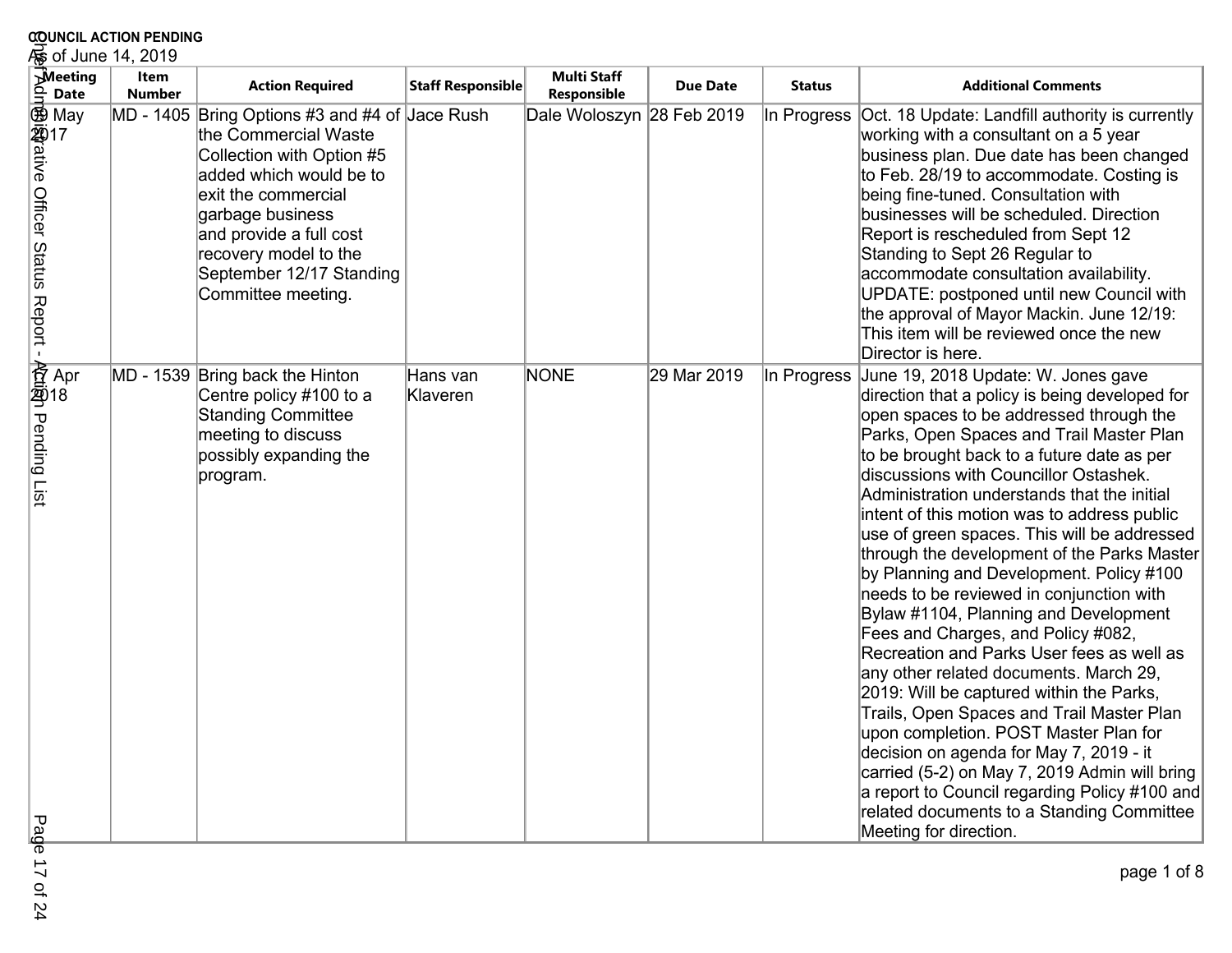|              | <b>20UNCIL ACTION PENDING</b><br>୍କ୍ଷ of June 14, 2019 |                       |                                                                                                                                                                                                                                                                                 |                      |                                   |                 |               |                                                                                                                                                                                                                                                                                                                                                                                                                                                                                                                                                                                                                                                                                                                                                                                                                                                                                                                                                                                                                                                           |  |  |
|--------------|--------------------------------------------------------|-----------------------|---------------------------------------------------------------------------------------------------------------------------------------------------------------------------------------------------------------------------------------------------------------------------------|----------------------|-----------------------------------|-----------------|---------------|-----------------------------------------------------------------------------------------------------------------------------------------------------------------------------------------------------------------------------------------------------------------------------------------------------------------------------------------------------------------------------------------------------------------------------------------------------------------------------------------------------------------------------------------------------------------------------------------------------------------------------------------------------------------------------------------------------------------------------------------------------------------------------------------------------------------------------------------------------------------------------------------------------------------------------------------------------------------------------------------------------------------------------------------------------------|--|--|
| ۹            | <b>Meeting</b><br><b>Date</b>                          | Item<br><b>Number</b> | <b>Action Required</b>                                                                                                                                                                                                                                                          | Staff Responsible    | <b>Multi Staff</b><br>Responsible | <b>Due Date</b> | <b>Status</b> | <b>Additional Comments</b>                                                                                                                                                                                                                                                                                                                                                                                                                                                                                                                                                                                                                                                                                                                                                                                                                                                                                                                                                                                                                                |  |  |
|              | ี May<br>酒rative Officer Status Report<br>「            |                       | MD - 1405 Bring Options #3 and #4 of Jace Rush<br>the Commercial Waste<br>Collection with Option #5<br>added which would be to<br>exit the commercial<br>garbage business<br>and provide a full cost<br>recovery model to the<br>September 12/17 Standing<br>Committee meeting. |                      | Dale Woloszyn 28 Feb 2019         |                 | In Progress   | Oct. 18 Update: Landfill authority is currently<br>working with a consultant on a 5 year<br>business plan. Due date has been changed<br>to Feb. 28/19 to accommodate. Costing is<br>being fine-tuned. Consultation with<br>businesses will be scheduled. Direction<br>Report is rescheduled from Sept 12<br>Standing to Sept 26 Regular to<br>accommodate consultation availability.<br>UPDATE: postponed until new Council with<br>the approval of Mayor Mackin. June 12/19:<br>This item will be reviewed once the new<br>Director is here.                                                                                                                                                                                                                                                                                                                                                                                                                                                                                                             |  |  |
| Pending List | 资 Apr<br>剪18                                           |                       | MD - 1539 Bring back the Hinton<br>Centre policy #100 to a<br><b>Standing Committee</b><br>meeting to discuss<br>possibly expanding the<br>program.                                                                                                                             | Hans van<br>Klaveren | <b>NONE</b>                       | 29 Mar 2019     | In Progress   | June 19, 2018 Update: W. Jones gave<br>direction that a policy is being developed for<br>open spaces to be addressed through the<br>Parks, Open Spaces and Trail Master Plan<br>to be brought back to a future date as per<br>discussions with Councillor Ostashek.<br>Administration understands that the initial<br>intent of this motion was to address public<br>use of green spaces. This will be addressed<br>through the development of the Parks Master<br>by Planning and Development. Policy #100<br>needs to be reviewed in conjunction with<br>Bylaw #1104, Planning and Development<br>Fees and Charges, and Policy #082,<br>Recreation and Parks User fees as well as<br>any other related documents. March 29,<br>2019: Will be captured within the Parks,<br>Trails, Open Spaces and Trail Master Plan<br>upon completion. POST Master Plan for<br>decision on agenda for May 7, 2019 - it<br>carried (5-2) on May 7, 2019 Admin will bring<br>a report to Council regarding Policy #100 and<br>related documents to a Standing Committee |  |  |
| Pag          |                                                        |                       |                                                                                                                                                                                                                                                                                 |                      |                                   |                 |               | Meeting for direction.                                                                                                                                                                                                                                                                                                                                                                                                                                                                                                                                                                                                                                                                                                                                                                                                                                                                                                                                                                                                                                    |  |  |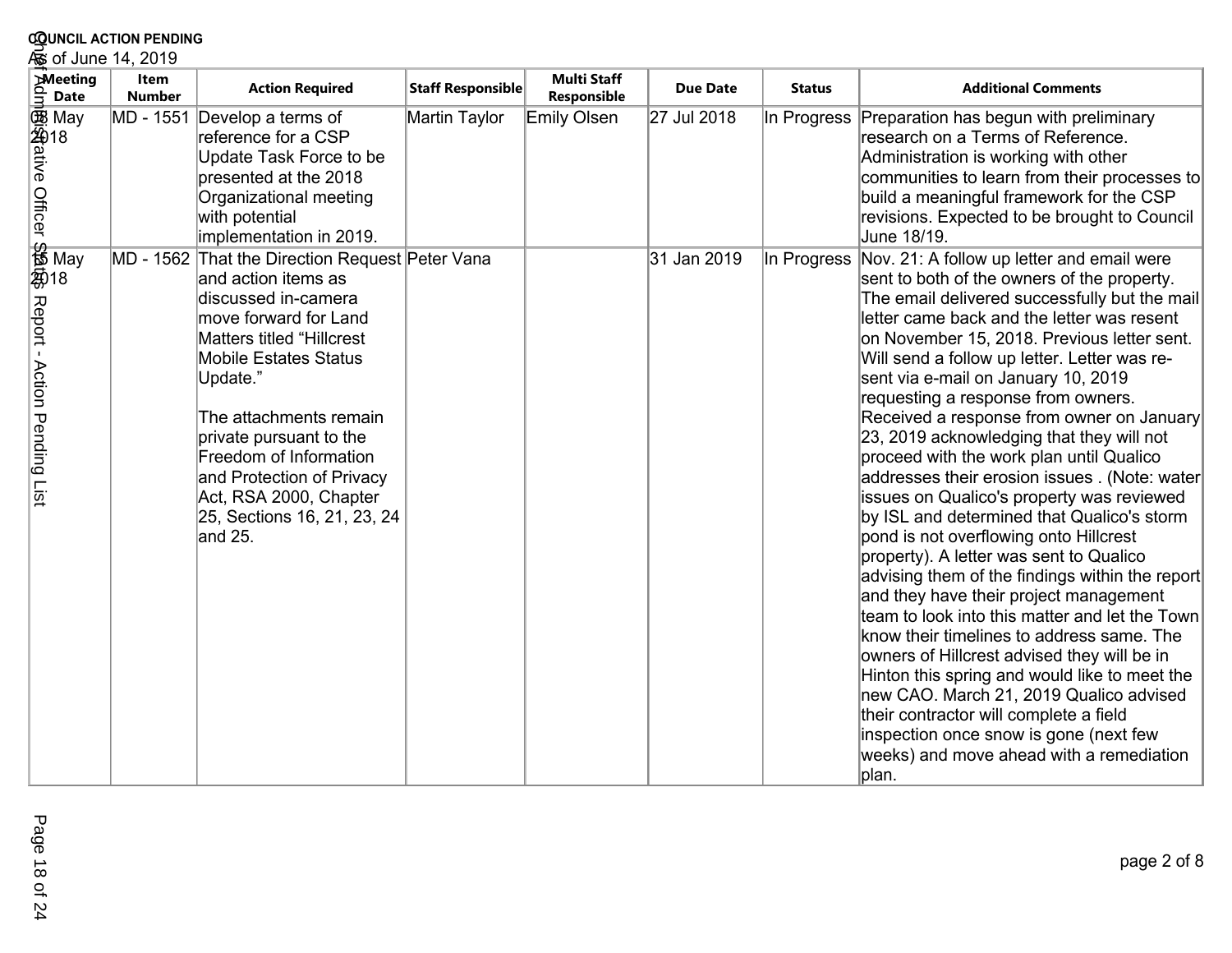| <b>COUNCIL ACTION PENDING</b><br>க் of June 14, 2019                     |                       |                                                                                                                                                                                                                                                                                                                                                                                  |                   |                                   |                 |               |                                                                                                                                                                                                                                                                                                                                                                                                                                                                                                                                                                                                                                                                                                                                                                                                                                                                                                                                                                                                                                                                                                                                                                                                                                         |  |
|--------------------------------------------------------------------------|-----------------------|----------------------------------------------------------------------------------------------------------------------------------------------------------------------------------------------------------------------------------------------------------------------------------------------------------------------------------------------------------------------------------|-------------------|-----------------------------------|-----------------|---------------|-----------------------------------------------------------------------------------------------------------------------------------------------------------------------------------------------------------------------------------------------------------------------------------------------------------------------------------------------------------------------------------------------------------------------------------------------------------------------------------------------------------------------------------------------------------------------------------------------------------------------------------------------------------------------------------------------------------------------------------------------------------------------------------------------------------------------------------------------------------------------------------------------------------------------------------------------------------------------------------------------------------------------------------------------------------------------------------------------------------------------------------------------------------------------------------------------------------------------------------------|--|
| <b>Meeting</b><br>خ<br>ع<br><b>Date</b>                                  | Item<br><b>Number</b> | <b>Action Required</b>                                                                                                                                                                                                                                                                                                                                                           | Staff Responsible | <b>Multi Staff</b><br>Responsible | <b>Due Date</b> | <b>Status</b> | <b>Additional Comments</b>                                                                                                                                                                                                                                                                                                                                                                                                                                                                                                                                                                                                                                                                                                                                                                                                                                                                                                                                                                                                                                                                                                                                                                                                              |  |
| <b>函</b> May<br>s<br>Seqative Officer \$<br><b>jist</b> ative Officer \$ | MD - 1551             | Develop a terms of<br>reference for a CSP<br>Update Task Force to be<br>presented at the 2018<br>Organizational meeting<br>with potential<br>implementation in 2019.                                                                                                                                                                                                             | Martin Taylor     | Emily Olsen                       | 27 Jul 2018     | In Progress   | Preparation has begun with preliminary<br>research on a Terms of Reference.<br>Administration is working with other<br>communities to learn from their processes to<br>build a meaningful framework for the CSP<br>revisions. Expected to be brought to Council<br>June 18/19.                                                                                                                                                                                                                                                                                                                                                                                                                                                                                                                                                                                                                                                                                                                                                                                                                                                                                                                                                          |  |
| Se<br>番 May<br>菊18<br>Report -<br><b>Action</b><br>Pending List          |                       | MD - 1562 That the Direction Request Peter Vana<br>and action items as<br>discussed in-camera<br>move forward for Land<br>Matters titled "Hillcrest<br><b>Mobile Estates Status</b><br>Update."<br>The attachments remain<br>private pursuant to the<br>Freedom of Information<br>and Protection of Privacy<br>Act, RSA 2000, Chapter<br>25, Sections 16, 21, 23, 24<br>land 25. |                   |                                   | 31 Jan 2019     |               | In Progress Nov. 21: A follow up letter and email were<br>sent to both of the owners of the property.<br>The email delivered successfully but the mail<br>letter came back and the letter was resent<br>on November 15, 2018. Previous letter sent.<br>Will send a follow up letter. Letter was re-<br>sent via e-mail on January 10, 2019<br>requesting a response from owners.<br>Received a response from owner on January<br>23, 2019 acknowledging that they will not<br>proceed with the work plan until Qualico<br>addresses their erosion issues . (Note: water<br>issues on Qualico's property was reviewed<br>by ISL and determined that Qualico's storm<br>pond is not overflowing onto Hillcrest<br>property). A letter was sent to Qualico<br>advising them of the findings within the report<br>and they have their project management<br>team to look into this matter and let the Town<br>know their timelines to address same. The<br>owners of Hillcrest advised they will be in<br>Hinton this spring and would like to meet the<br>new CAO. March 21, 2019 Qualico advised<br>their contractor will complete a field<br>inspection once snow is gone (next few<br>weeks) and move ahead with a remediation<br>plan. |  |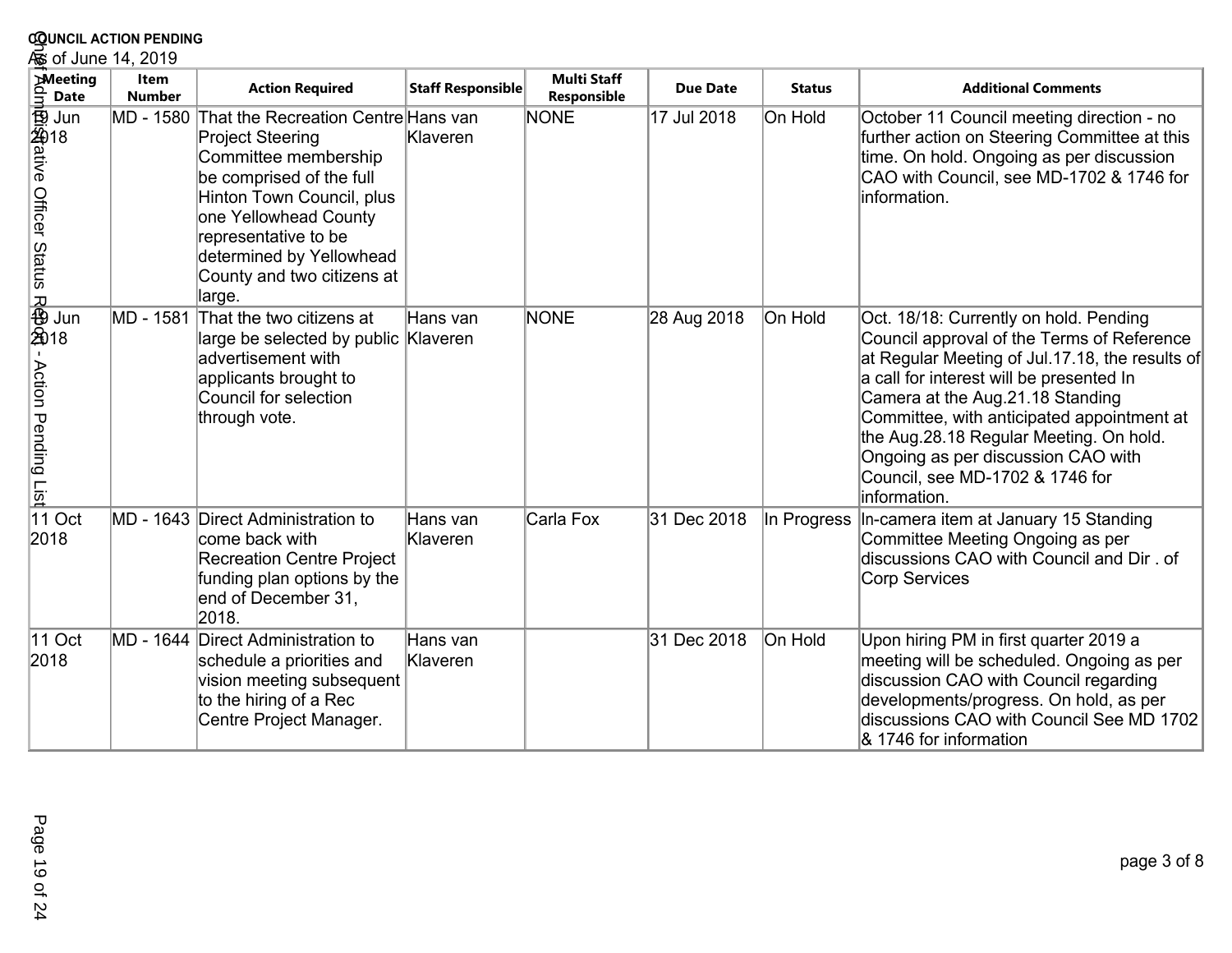| <b>COUNCIL ACTION PENDING</b><br>க் of June 14, 2019 |                              |                                                                                                                                                                                                                                                                                |                      |                                   |                 |               |                                                                                                                                                                                                                                                                                                                                                                                                           |  |
|------------------------------------------------------|------------------------------|--------------------------------------------------------------------------------------------------------------------------------------------------------------------------------------------------------------------------------------------------------------------------------|----------------------|-----------------------------------|-----------------|---------------|-----------------------------------------------------------------------------------------------------------------------------------------------------------------------------------------------------------------------------------------------------------------------------------------------------------------------------------------------------------------------------------------------------------|--|
| <b>Meeting</b><br><b>Date</b>                        | <b>Item</b><br><b>Number</b> | <b>Action Required</b>                                                                                                                                                                                                                                                         | Staff Responsible    | <b>Multi Staff</b><br>Responsible | <b>Due Date</b> | <b>Status</b> | <b>Additional Comments</b>                                                                                                                                                                                                                                                                                                                                                                                |  |
|                                                      |                              | MD - 1580 That the Recreation Centre Hans van<br><b>Project Steering</b><br>Committee membership<br>be comprised of the full<br>Hinton Town Council, plus<br>one Yellowhead County<br>representative to be<br>determined by Yellowhead<br>County and two citizens at<br>large. | Klaveren             | NONE                              | 17 Jul 2018     | On Hold       | October 11 Council meeting direction - no<br>further action on Steering Committee at this<br>time. On hold. Ongoing as per discussion<br>CAO with Council, see MD-1702 & 1746 for<br>information.                                                                                                                                                                                                         |  |
| ,<br>我<br>我<br>我18<br>Action Pending List            | MD - 1581                    | That the two citizens at<br>large be selected by public Klaveren<br>advertisement with<br>applicants brought to<br>Council for selection<br>through vote.                                                                                                                      | Hans van             | NONE                              | 28 Aug 2018     | On Hold       | Oct. 18/18: Currently on hold. Pending<br>Council approval of the Terms of Reference<br>at Regular Meeting of Jul.17.18, the results of<br>a call for interest will be presented In<br>Camera at the Aug.21.18 Standing<br>Committee, with anticipated appointment at<br>the Aug.28.18 Regular Meeting. On hold.<br>Ongoing as per discussion CAO with<br>Council, see MD-1702 & 1746 for<br>information. |  |
| 11 Oct<br>2018                                       |                              | MD - 1643 Direct Administration to<br>come back with<br><b>Recreation Centre Project</b><br>funding plan options by the<br>end of December 31,<br>2018.                                                                                                                        | Hans van<br>Klaveren | Carla Fox                         | 31 Dec 2018     | In Progress   | In-camera item at January 15 Standing<br>Committee Meeting Ongoing as per<br>discussions CAO with Council and Dir. of<br>Corp Services                                                                                                                                                                                                                                                                    |  |
| 11 Oct<br>2018                                       |                              | MD - 1644 Direct Administration to<br>schedule a priorities and<br>vision meeting subsequent<br>to the hiring of a Rec<br>Centre Project Manager.                                                                                                                              | Hans van<br>Klaveren |                                   | 31 Dec 2018     | On Hold       | Upon hiring PM in first quarter 2019 a<br>meeting will be scheduled. Ongoing as per<br>discussion CAO with Council regarding<br>developments/progress. On hold, as per<br>discussions CAO with Council See MD 1702<br>& 1746 for information                                                                                                                                                              |  |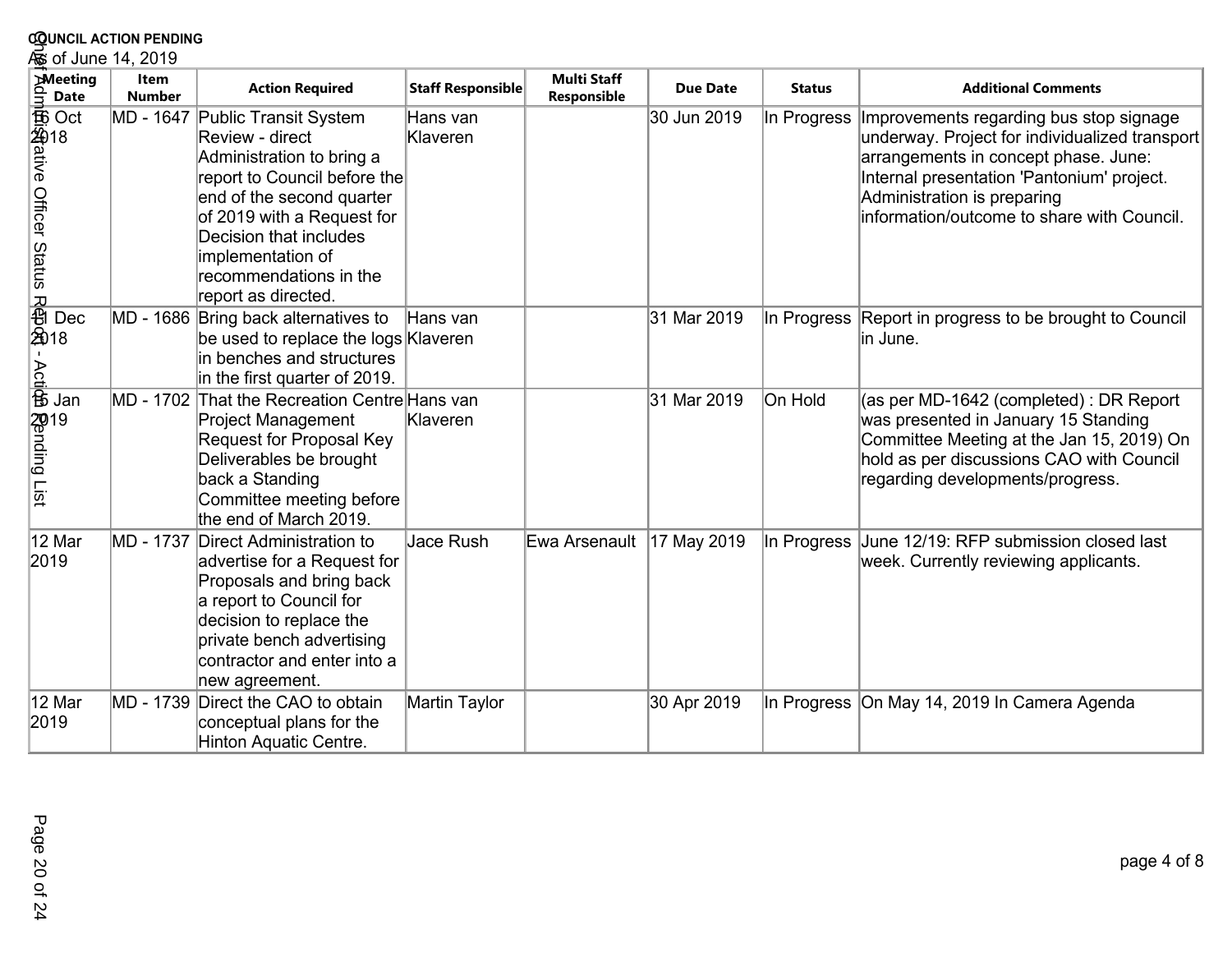| <b>COUNCIL ACTION PENDING</b>                                                                                                                   |                              |                                                                                                                                                                                                                                                                            |                      |                                   |                 |               |                                                                                                                                                                                                                                                              |  |  |
|-------------------------------------------------------------------------------------------------------------------------------------------------|------------------------------|----------------------------------------------------------------------------------------------------------------------------------------------------------------------------------------------------------------------------------------------------------------------------|----------------------|-----------------------------------|-----------------|---------------|--------------------------------------------------------------------------------------------------------------------------------------------------------------------------------------------------------------------------------------------------------------|--|--|
| و of June 14, 2019                                                                                                                              |                              |                                                                                                                                                                                                                                                                            |                      |                                   |                 |               |                                                                                                                                                                                                                                                              |  |  |
| <b>Meeting</b><br>id<br>∃<br><b>Date</b>                                                                                                        | <b>Item</b><br><b>Number</b> | <b>Action Required</b>                                                                                                                                                                                                                                                     | Staff Responsible    | <b>Multi Staff</b><br>Responsible | <b>Due Date</b> | <b>Status</b> | <b>Additional Comments</b>                                                                                                                                                                                                                                   |  |  |
| DC<br>SUS<br>街道ative Officer Status                                                                                                             |                              | MD - 1647 Public Transit System<br>Review - direct<br>Administration to bring a<br>report to Council before the<br>end of the second quarter<br>of 2019 with a Request for<br>Decision that includes<br>implementation of<br>recommendations in the<br>report as directed. | Hans van<br>Klaveren |                                   | 30 Jun 2019     | In Progress   | Improvements regarding bus stop signage<br>underway. Project for individualized transport<br>arrangements in concept phase. June:<br>Internal presentation 'Pantonium' project.<br>Administration is preparing<br>information/outcome to share with Council. |  |  |
| R<br><br><br><br><br><br><br><br><br><br><br><br><br><br><br><br><br><br><br><br>Dec<br>$\mathbf{I}$<br>$\frac{\partial}{\partial \vec{B}}$ Jan |                              | MD - 1686 Bring back alternatives to<br>be used to replace the logs Klaveren<br>in benches and structures<br>in the first quarter of 2019.                                                                                                                                 | Hans van             |                                   | 31 Mar 2019     |               | In Progress Report in progress to be brought to Council<br>lin June.                                                                                                                                                                                         |  |  |
| s<br>Sending List<br>Sending List                                                                                                               | MD - 1702                    | That the Recreation Centre Hans van<br><b>Project Management</b><br><b>Request for Proposal Key</b><br>Deliverables be brought<br>back a Standing<br>Committee meeting before<br>the end of March 2019.                                                                    | Klaveren             |                                   | 31 Mar 2019     | On Hold       | (as per MD-1642 (completed) : DR Report<br>was presented in January 15 Standing<br>Committee Meeting at the Jan 15, 2019) On<br>hold as per discussions CAO with Council<br>regarding developments/progress.                                                 |  |  |
| 12 Mar<br>2019                                                                                                                                  | MD - 1737                    | Direct Administration to<br>advertise for a Request for<br>Proposals and bring back<br>a report to Council for<br>decision to replace the<br>private bench advertising<br>contractor and enter into a<br>new agreement.                                                    | Jace Rush            | Ewa Arsenault                     | 17 May 2019     | In Progress   | June 12/19: RFP submission closed last<br>week. Currently reviewing applicants.                                                                                                                                                                              |  |  |
| 12 Mar<br>2019                                                                                                                                  | MD - 1739                    | Direct the CAO to obtain<br>conceptual plans for the<br>Hinton Aquatic Centre.                                                                                                                                                                                             | Martin Taylor        |                                   | 30 Apr 2019     |               | In Progress On May 14, 2019 In Camera Agenda                                                                                                                                                                                                                 |  |  |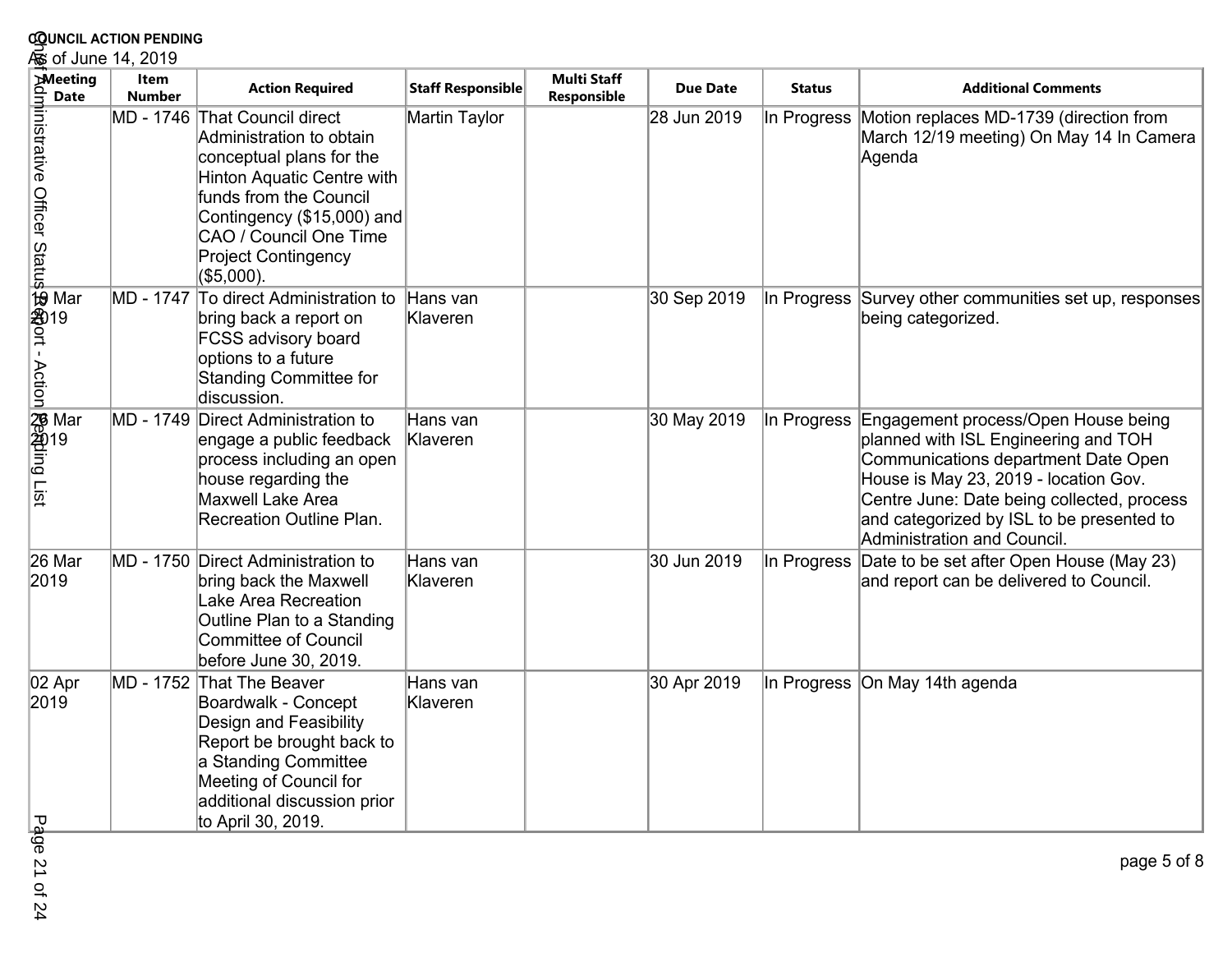| <b>COUNCIL ACTION PENDING</b><br>க் of June 14, 2019 |                       |                                                                                                                                                                                                                                                   |                      |                                   |                 |               |                                                                                                                                                                                                                                                                                       |  |  |
|------------------------------------------------------|-----------------------|---------------------------------------------------------------------------------------------------------------------------------------------------------------------------------------------------------------------------------------------------|----------------------|-----------------------------------|-----------------|---------------|---------------------------------------------------------------------------------------------------------------------------------------------------------------------------------------------------------------------------------------------------------------------------------------|--|--|
| <b>Meeting</b><br><b>Date</b>                        | Item<br><b>Number</b> | <b>Action Required</b>                                                                                                                                                                                                                            | Staff Responsible    | <b>Multi Staff</b><br>Responsible | <b>Due Date</b> | <b>Status</b> | <b>Additional Comments</b>                                                                                                                                                                                                                                                            |  |  |
|                                                      |                       | MD - 1746 That Council direct<br>Administration to obtain<br>conceptual plans for the<br>Hinton Aquatic Centre with<br>funds from the Council<br>Contingency (\$15,000) and<br>CAO / Council One Time<br><b>Project Contingency</b><br>(\$5,000). | Martin Taylor        |                                   | 28 Jun 2019     | In Progress   | Motion replaces MD-1739 (direction from<br>March 12/19 meeting) On May 14 In Camera<br>Agenda                                                                                                                                                                                         |  |  |
|                                                      | MD - 1747             | To direct Administration to<br>bring back a report on<br><b>FCSS advisory board</b><br>options to a future<br>Standing Committee for<br>discussion.                                                                                               | Hans van<br>Klaveren |                                   | 30 Sep 2019     |               | In Progress Survey other communities set up, responses<br>being categorized.                                                                                                                                                                                                          |  |  |
|                                                      | MD - 1749             | Direct Administration to<br>engage a public feedback<br>process including an open<br>house regarding the<br>Maxwell Lake Area<br>Recreation Outline Plan.                                                                                         | Hans van<br>Klaveren |                                   | 30 May 2019     | In Progress   | Engagement process/Open House being<br>planned with ISL Engineering and TOH<br>Communications department Date Open<br>House is May 23, 2019 - location Gov.<br>Centre June: Date being collected, process<br>and categorized by ISL to be presented to<br>Administration and Council. |  |  |
| 26 Mar<br>2019                                       |                       | MD - 1750 Direct Administration to<br>bring back the Maxwell<br>Lake Area Recreation<br>Outline Plan to a Standing<br><b>Committee of Council</b><br>before June 30, 2019.                                                                        | Hans van<br>Klaveren |                                   | 30 Jun 2019     | In Progress   | Date to be set after Open House (May 23)<br>and report can be delivered to Council.                                                                                                                                                                                                   |  |  |
| 02 Apr<br>2019<br>᠊ᠣ<br>ے۔                           |                       | MD - 1752 That The Beaver<br>Boardwalk - Concept<br>Design and Feasibility<br>Report be brought back to<br>a Standing Committee<br>Meeting of Council for<br>additional discussion prior<br>to April 30, 2019.                                    | Hans van<br>Klaveren |                                   | 30 Apr 2019     |               | In Progress On May 14th agenda                                                                                                                                                                                                                                                        |  |  |

Page 21 of 24ge 21 of 24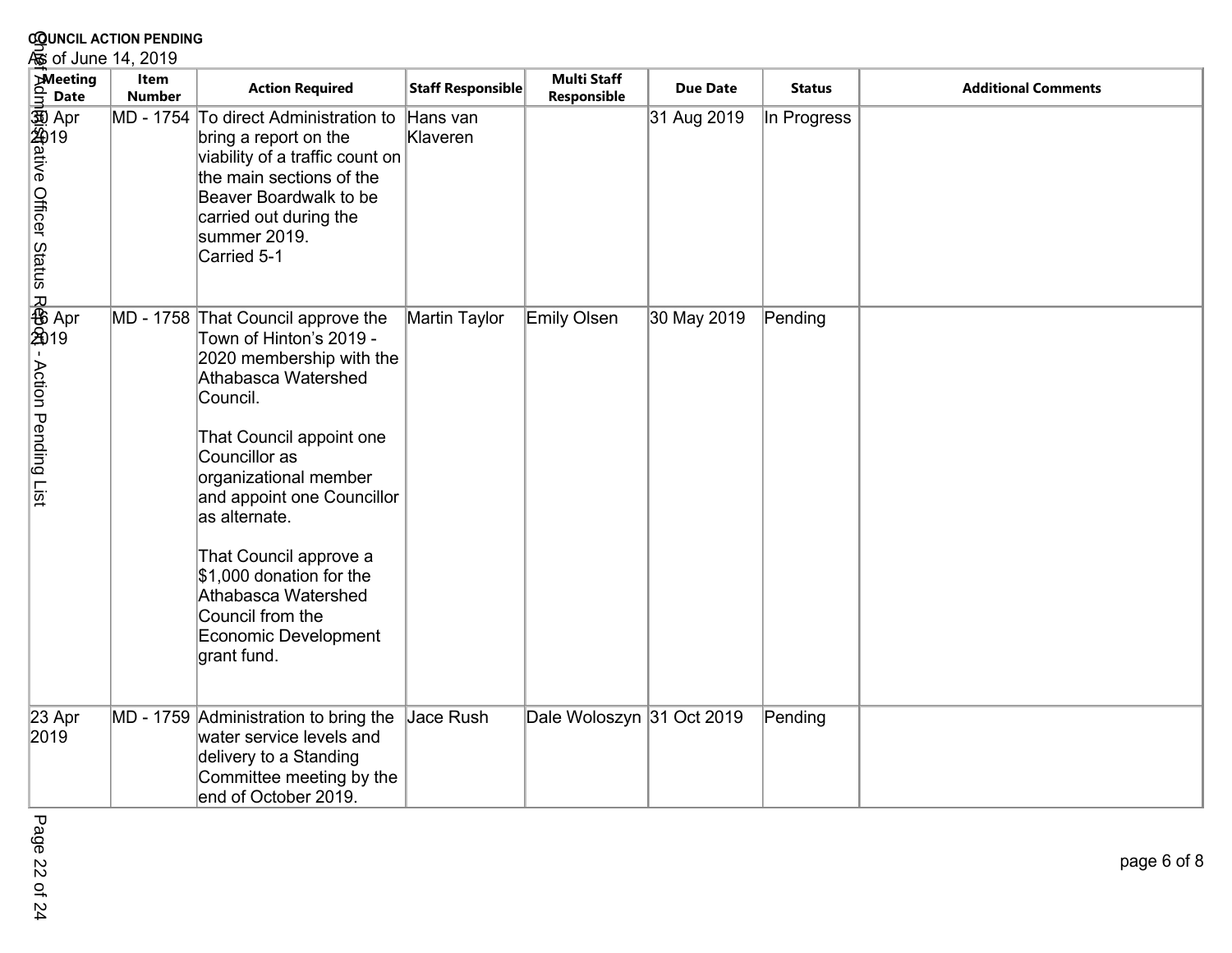| <b>COUNCIL ACTION PENDING</b>                          |                       |                                                                                                                                                                                                                                                                                                                                                                                           |                      |                                   |                 |               |                            |  |  |
|--------------------------------------------------------|-----------------------|-------------------------------------------------------------------------------------------------------------------------------------------------------------------------------------------------------------------------------------------------------------------------------------------------------------------------------------------------------------------------------------------|----------------------|-----------------------------------|-----------------|---------------|----------------------------|--|--|
| க் of June 14, 2019                                    |                       |                                                                                                                                                                                                                                                                                                                                                                                           |                      |                                   |                 |               |                            |  |  |
| <b>Meeting</b><br><b>Date</b>                          | Item<br><b>Number</b> | <b>Action Required</b>                                                                                                                                                                                                                                                                                                                                                                    | Staff Responsible    | <b>Multi Staff</b><br>Responsible | <b>Due Date</b> | <b>Status</b> | <b>Additional Comments</b> |  |  |
| dm Apr<br>劉治itive Officer<br>Status Officer Status     |                       | MD - 1754 To direct Administration to<br>bring a report on the<br>viability of a traffic count on<br>the main sections of the<br>Beaver Boardwalk to be<br>carried out during the<br>summer 2019.<br>Carried 5-1                                                                                                                                                                          | Hans van<br>Klaveren |                                   | 31 Aug 2019     | In Progress   |                            |  |  |
| s<br>- Res Apr<br>- 全019<br><b>Action Pending List</b> |                       | MD - 1758 That Council approve the<br>Town of Hinton's 2019 -<br>2020 membership with the<br>Athabasca Watershed<br>Council.<br>That Council appoint one<br>Councillor as<br>organizational member<br>and appoint one Councillor<br>as alternate.<br>That Council approve a<br>\$1,000 donation for the<br>Athabasca Watershed<br>Council from the<br>Economic Development<br>grant fund. | Martin Taylor        | Emily Olsen                       | 30 May 2019     | Pending       |                            |  |  |
| 23 Apr<br>2019                                         |                       | MD - 1759 Administration to bring the<br>water service levels and<br>delivery to a Standing<br>Committee meeting by the<br>end of October 2019.                                                                                                                                                                                                                                           | Jace Rush            | Dale Woloszyn 31 Oct 2019         |                 | Pending       |                            |  |  |

Page 22 of 24 Page 22 of 24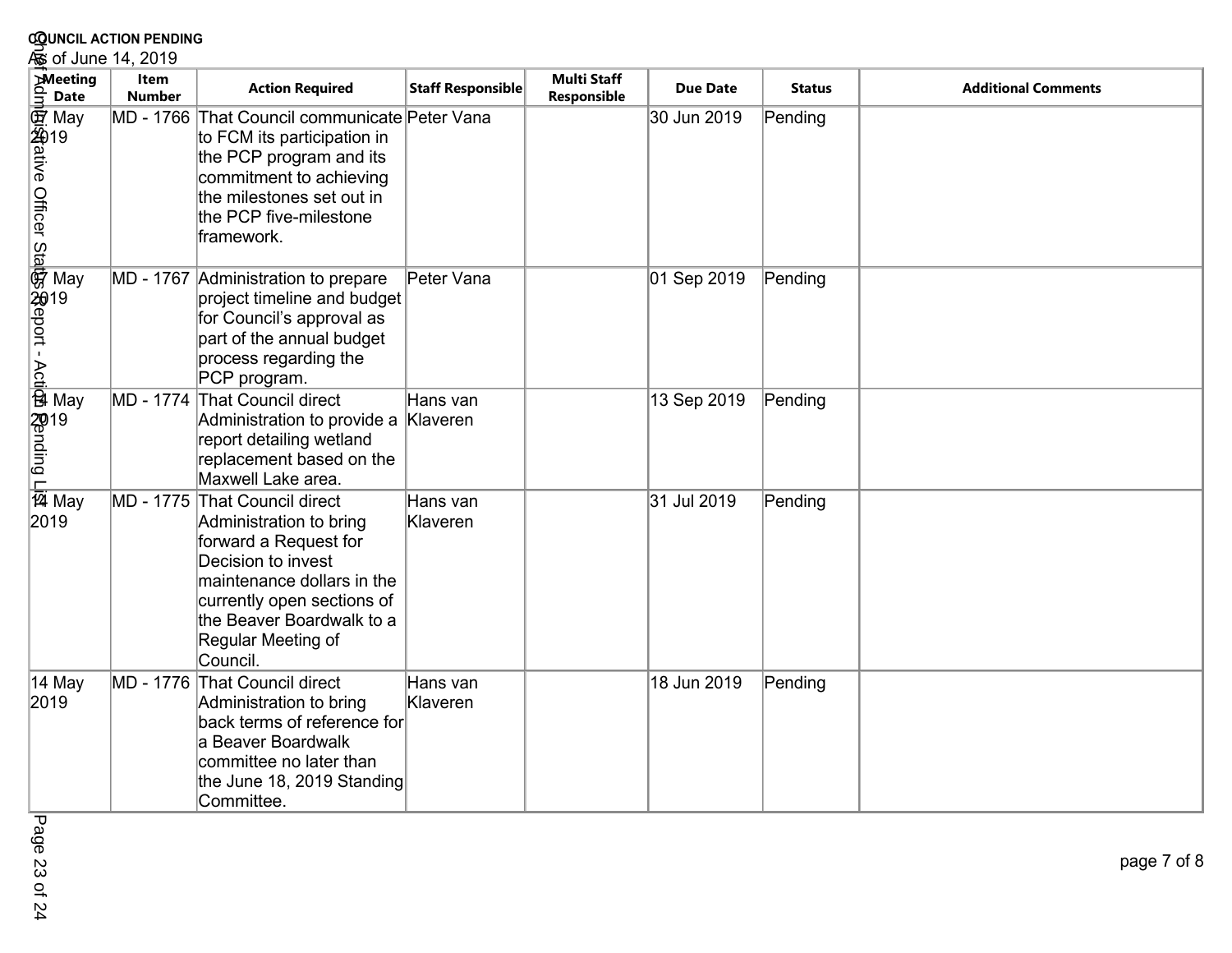| <b>COUNCIL ACTION PENDING</b>                                                                                                 |                       |                                                                                                                                                                                                                          |                      |                                   |                 |               |                            |  |  |  |  |
|-------------------------------------------------------------------------------------------------------------------------------|-----------------------|--------------------------------------------------------------------------------------------------------------------------------------------------------------------------------------------------------------------------|----------------------|-----------------------------------|-----------------|---------------|----------------------------|--|--|--|--|
| க் of June 14, 2019                                                                                                           |                       |                                                                                                                                                                                                                          |                      |                                   |                 |               |                            |  |  |  |  |
| <b>Meeting</b>                                                                                                                | Item<br><b>Number</b> | <b>Action Required</b>                                                                                                                                                                                                   | Staff Responsible    | <b>Multi Staff</b><br>Responsible | <b>Due Date</b> | <b>Status</b> | <b>Additional Comments</b> |  |  |  |  |
| dmlgt狗ditive Officer Statight May<br>http://www.com/statight.com/statight/battle/battle/battle/battle/b<br>@Prodite/Mandition |                       | MD - 1766 That Council communicate Peter Vana<br>to FCM its participation in<br>the PCP program and its<br>commitment to achieving<br>the milestones set out in<br>the PCP five-milestone<br>framework.                  |                      |                                   | 30 Jun 2019     | Pending       |                            |  |  |  |  |
|                                                                                                                               |                       | MD - 1767 Administration to prepare<br>project timeline and budget<br>for Council's approval as<br>part of the annual budget<br>process regarding the<br>PCP program.                                                    | Peter Vana           |                                   | 01 Sep 2019     | Pending       |                            |  |  |  |  |
|                                                                                                                               | MD - 1774             | <b>That Council direct</b><br>Administration to provide a Klaveren<br>report detailing wetland<br>replacement based on the<br>Maxwell Lake area.                                                                         | Hans van             |                                   | 13 Sep 2019     | Pending       |                            |  |  |  |  |
| $\frac{\overline{P}}{\overline{24}}$ May<br>2019                                                                              | MD - 1775             | That Council direct<br>Administration to bring<br>forward a Request for<br>Decision to invest<br>maintenance dollars in the<br>currently open sections of<br>the Beaver Boardwalk to a<br>Regular Meeting of<br>Council. | Hans van<br>Klaveren |                                   | 31 Jul 2019     | Pending       |                            |  |  |  |  |
| 14 May<br>2019                                                                                                                |                       | MD - 1776 That Council direct<br>Administration to bring<br>back terms of reference for<br>la Beaver Boardwalk<br>committee no later than<br>the June 18, 2019 Standing<br>Committee.                                    | Hans van<br>Klaveren |                                   | 18 Jun 2019     | Pending       |                            |  |  |  |  |

Page 23 of 24 Page 23 of 24